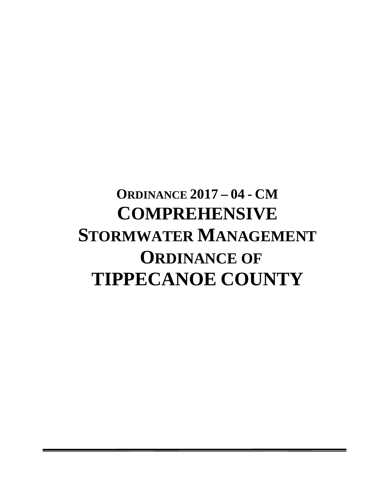# **ORDINANCE 2017 – 04 - CM COMPREHENSIVE STORMWATER MANAGEMENT ORDINANCE OF TIPPECANOE COUNTY**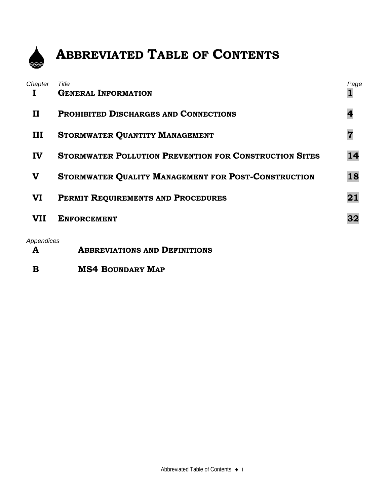

## **ABBREVIATED TABLE OF CONTENTS**

| Chapter      | Title                                                         | Page |
|--------------|---------------------------------------------------------------|------|
|              | <b>GENERAL INFORMATION</b>                                    |      |
| $\mathbf{I}$ | <b>PROHIBITED DISCHARGES AND CONNECTIONS</b>                  |      |
| III          | <b>STORMWATER QUANTITY MANAGEMENT</b>                         |      |
| IV           | <b>STORMWATER POLLUTION PREVENTION FOR CONSTRUCTION SITES</b> | 14   |
| V            | STORMWATER QUALITY MANAGEMENT FOR POST-CONSTRUCTION           | 18   |
| VI           | PERMIT REQUIREMENTS AND PROCEDURES                            | 21   |
| <b>VII</b>   | <b>ENFORCEMENT</b>                                            | 32   |
| Appendices   |                                                               |      |

- **A ABBREVIATIONS AND DEFINITIONS**
- **B MS4 BOUNDARY MAP**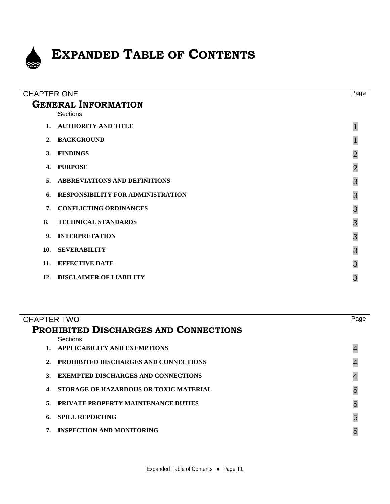

## **EXPANDED TABLE OF CONTENTS**

| <b>CHAPTER ONE</b> |                                        | Page           |
|--------------------|----------------------------------------|----------------|
|                    | <b>GENERAL INFORMATION</b><br>Sections |                |
|                    | 1. AUTHORITY AND TITLE                 |                |
| 2.                 | <b>BACKGROUND</b>                      |                |
| 3.                 | <b>FINDINGS</b>                        | $\overline{2}$ |
| 4.                 | <b>PURPOSE</b>                         | $\overline{2}$ |
| 5.                 | <b>ABBREVIATIONS AND DEFINITIONS</b>   | 3              |
| 6.                 | RESPONSIBILITY FOR ADMINISTRATION      | 3              |
| 7.                 | <b>CONFLICTING ORDINANCES</b>          | 3              |
| 8.                 | <b>TECHNICAL STANDARDS</b>             | 3              |
| 9 <sub>l</sub>     | <b>INTERPRETATION</b>                  | 3              |
| 10.                | <b>SEVERABILITY</b>                    | 3              |
| 11.                | <b>EFFECTIVE DATE</b>                  | 3              |
| 12.                | <b>DISCLAIMER OF LIABILITY</b>         | 3              |
|                    |                                        |                |

| CHAPTER TWO    |                                              | Page           |
|----------------|----------------------------------------------|----------------|
|                | <b>PROHIBITED DISCHARGES AND CONNECTIONS</b> |                |
|                | Sections                                     |                |
|                | <b>APPLICABILITY AND EXEMPTIONS</b>          | $\overline{4}$ |
| $2_{-}$        | <b>PROHIBITED DISCHARGES AND CONNECTIONS</b> | $\overline{4}$ |
| 3 <sub>1</sub> | <b>EXEMPTED DISCHARGES AND CONNECTIONS</b>   | $\overline{4}$ |
|                | 4. STORAGE OF HAZARDOUS OR TOXIC MATERIAL    | 5              |
|                | 5. PRIVATE PROPERTY MAINTENANCE DUTIES       | 5              |
| 6.             | <b>SPILL REPORTING</b>                       | 5              |
|                | 7. INSPECTION AND MONITORING                 | 5              |
|                |                                              |                |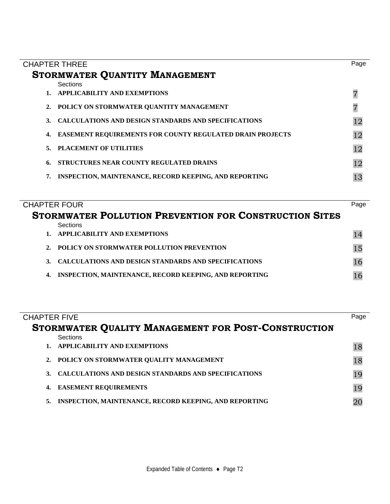| <b>CHAPTER THREE</b> |                                                                  | Page |
|----------------------|------------------------------------------------------------------|------|
|                      | <b>STORMWATER QUANTITY MANAGEMENT</b>                            |      |
|                      | Sections                                                         |      |
|                      | 1. APPLICABILITY AND EXEMPTIONS                                  |      |
| 2.                   | POLICY ON STORMWATER QUANTITY MANAGEMENT                         |      |
| 3.                   | <b>CALCULATIONS AND DESIGN STANDARDS AND SPECIFICATIONS</b>      | 12   |
| 4.                   | <b>EASEMENT REQUIREMENTS FOR COUNTY REGULATED DRAIN PROJECTS</b> | 12   |
| 5.                   | PLACEMENT OF UTILITIES                                           | 12   |
| 6.                   | STRUCTURES NEAR COUNTY REGULATED DRAINS                          | 12   |
| 7.                   | <b>INSPECTION, MAINTENANCE, RECORD KEEPING, AND REPORTING</b>    |      |
|                      |                                                                  |      |

| <b>CHAPTER FOUR</b>                                                 | Page |
|---------------------------------------------------------------------|------|
| <b>STORMWATER POLLUTION PREVENTION FOR CONSTRUCTION SITES</b>       |      |
| Sections                                                            |      |
| APPLICABILITY AND EXEMPTIONS<br>$1_{\ldots}$                        |      |
| 2. POLICY ON STORMWATER POLLUTION PREVENTION                        |      |
| <b>CALCULATIONS AND DESIGN STANDARDS AND SPECIFICATIONS</b><br>3.   |      |
| <b>INSPECTION, MAINTENANCE, RECORD KEEPING, AND REPORTING</b><br>4. |      |

| <b>CHAPTER FIVE</b> |                                                               | Page |
|---------------------|---------------------------------------------------------------|------|
|                     | STORMWATER QUALITY MANAGEMENT FOR POST-CONSTRUCTION           |      |
|                     | Sections                                                      |      |
|                     | <b>APPLICABILITY AND EXEMPTIONS</b>                           | 18   |
|                     | 2. POLICY ON STORMWATER QUALITY MANAGEMENT                    | 18   |
|                     | <b>CALCULATIONS AND DESIGN STANDARDS AND SPECIFICATIONS</b>   | 19   |
| 4.                  | <b>EASEMENT REQUIREMENTS</b>                                  | 19   |
| 5.                  | <b>INSPECTION, MAINTENANCE, RECORD KEEPING, AND REPORTING</b> |      |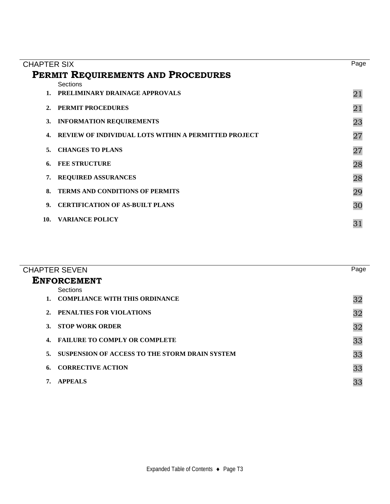|                    |                                                             | Page |  |  |  |  |  |
|--------------------|-------------------------------------------------------------|------|--|--|--|--|--|
| <b>CHAPTER SIX</b> |                                                             |      |  |  |  |  |  |
|                    | PERMIT REQUIREMENTS AND PROCEDURES                          |      |  |  |  |  |  |
|                    | Sections                                                    |      |  |  |  |  |  |
|                    | 1. PRELIMINARY DRAINAGE APPROVALS                           | 21   |  |  |  |  |  |
| 2.                 | <b>PERMIT PROCEDURES</b>                                    | 21   |  |  |  |  |  |
| 3.                 | <b>INFORMATION REQUIREMENTS</b>                             | 23   |  |  |  |  |  |
| 4.                 | <b>REVIEW OF INDIVIDUAL LOTS WITHIN A PERMITTED PROJECT</b> | 27   |  |  |  |  |  |
| 5.                 | <b>CHANGES TO PLANS</b>                                     | 27   |  |  |  |  |  |
| 6.                 | <b>FEE STRUCTURE</b>                                        | 28   |  |  |  |  |  |
| 7.                 | <b>REQUIRED ASSURANCES</b>                                  | 28   |  |  |  |  |  |
| 8.                 | <b>TERMS AND CONDITIONS OF PERMITS</b>                      | 29   |  |  |  |  |  |
| 9 <sub>z</sub>     | <b>CERTIFICATION OF AS-BUILT PLANS</b>                      | 30   |  |  |  |  |  |
| 10.                | <b>VARIANCE POLICY</b>                                      | 31   |  |  |  |  |  |

|         | <b>CHAPTER SEVEN</b>                           | Page |
|---------|------------------------------------------------|------|
|         | <b>ENFORCEMENT</b>                             |      |
|         | Sections                                       |      |
| $1_{-}$ | <b>COMPLIANCE WITH THIS ORDINANCE</b>          | 32   |
| 2.      | <b>PENALTIES FOR VIOLATIONS</b>                | 32   |
| 3.      | <b>STOP WORK ORDER</b>                         | 32   |
| 4.      | <b>FAILURE TO COMPLY OR COMPLETE</b>           | 33   |
| 5.      | SUSPENSION OF ACCESS TO THE STORM DRAIN SYSTEM | 33   |
| 6.      | <b>CORRECTIVE ACTION</b>                       | 33   |
|         | <b>APPEALS</b>                                 | 33   |
|         |                                                |      |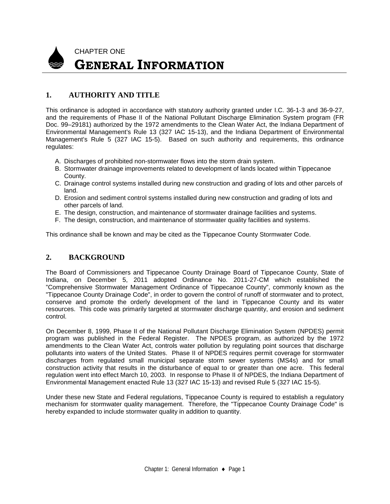

## **1. AUTHORITY AND TITLE**

This ordinance is adopted in accordance with statutory authority granted under I.C. 36-1-3 and 36-9-27, and the requirements of Phase II of the National Pollutant Discharge Elimination System program (FR Doc. 99–29181) authorized by the 1972 amendments to the Clean Water Act, the Indiana Department of Environmental Management's Rule 13 (327 IAC 15-13), and the Indiana Department of Environmental Management's Rule 5 (327 IAC 15-5). Based on such authority and requirements, this ordinance regulates:

- A. Discharges of prohibited non-stormwater flows into the storm drain system.
- B. Stormwater drainage improvements related to development of lands located within Tippecanoe County.
- C. Drainage control systems installed during new construction and grading of lots and other parcels of land.
- D. Erosion and sediment control systems installed during new construction and grading of lots and other parcels of land.
- E. The design, construction, and maintenance of stormwater drainage facilities and systems.
- F. The design, construction, and maintenance of stormwater quality facilities and systems.

This ordinance shall be known and may be cited as the Tippecanoe County Stormwater Code.

## **2. BACKGROUND**

The Board of Commissioners and Tippecanoe County Drainage Board of Tippecanoe County, State of Indiana, on December 5, 2011 adopted Ordinance No. 2011-27-CM which established the "Comprehensive Stormwater Management Ordinance of Tippecanoe County", commonly known as the "Tippecanoe County Drainage Code", in order to govern the control of runoff of stormwater and to protect, conserve and promote the orderly development of the land in Tippecanoe County and its water resources. This code was primarily targeted at stormwater discharge quantity, and erosion and sediment control.

On December 8, 1999, Phase II of the National Pollutant Discharge Elimination System (NPDES) permit program was published in the Federal Register. The NPDES program, as authorized by the 1972 amendments to the Clean Water Act, controls water pollution by regulating point sources that discharge pollutants into waters of the United States. Phase II of NPDES requires permit coverage for stormwater discharges from regulated small municipal separate storm sewer systems (MS4s) and for small construction activity that results in the disturbance of equal to or greater than one acre. This federal regulation went into effect March 10, 2003. In response to Phase II of NPDES, the Indiana Department of Environmental Management enacted Rule 13 (327 IAC 15-13) and revised Rule 5 (327 IAC 15-5).

Under these new State and Federal regulations, Tippecanoe County is required to establish a regulatory mechanism for stormwater quality management. Therefore, the "Tippecanoe County Drainage Code" is hereby expanded to include stormwater quality in addition to quantity.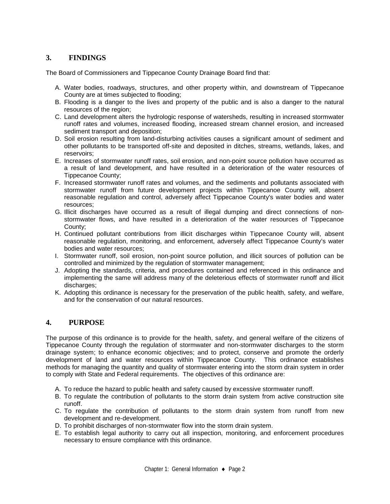## **3. FINDINGS**

The Board of Commissioners and Tippecanoe County Drainage Board find that:

- A. Water bodies, roadways, structures, and other property within, and downstream of Tippecanoe County are at times subjected to flooding;
- B. Flooding is a danger to the lives and property of the public and is also a danger to the natural resources of the region;
- C. Land development alters the hydrologic response of watersheds, resulting in increased stormwater runoff rates and volumes, increased flooding, increased stream channel erosion, and increased sediment transport and deposition;
- D. Soil erosion resulting from land-disturbing activities causes a significant amount of sediment and other pollutants to be transported off-site and deposited in ditches, streams, wetlands, lakes, and reservoirs;
- E. Increases of stormwater runoff rates, soil erosion, and non-point source pollution have occurred as a result of land development, and have resulted in a deterioration of the water resources of Tippecanoe County;
- F. Increased stormwater runoff rates and volumes, and the sediments and pollutants associated with stormwater runoff from future development projects within Tippecanoe County will, absent reasonable regulation and control, adversely affect Tippecanoe County's water bodies and water resources;
- G. Illicit discharges have occurred as a result of illegal dumping and direct connections of nonstormwater flows, and have resulted in a deterioration of the water resources of Tippecanoe County;
- H. Continued pollutant contributions from illicit discharges within Tippecanoe County will, absent reasonable regulation, monitoring, and enforcement, adversely affect Tippecanoe County's water bodies and water resources;
- I. Stormwater runoff, soil erosion, non-point source pollution, and illicit sources of pollution can be controlled and minimized by the regulation of stormwater management;
- J. Adopting the standards, criteria, and procedures contained and referenced in this ordinance and implementing the same will address many of the deleterious effects of stormwater runoff and illicit discharges:
- K. Adopting this ordinance is necessary for the preservation of the public health, safety, and welfare, and for the conservation of our natural resources.

## **4. PURPOSE**

The purpose of this ordinance is to provide for the health, safety, and general welfare of the citizens of Tippecanoe County through the regulation of stormwater and non-stormwater discharges to the storm drainage system; to enhance economic objectives; and to protect, conserve and promote the orderly development of land and water resources within Tippecanoe County. This ordinance establishes methods for managing the quantity and quality of stormwater entering into the storm drain system in order to comply with State and Federal requirements. The objectives of this ordinance are:

- A. To reduce the hazard to public health and safety caused by excessive stormwater runoff.
- B. To regulate the contribution of pollutants to the storm drain system from active construction site runoff.
- C. To regulate the contribution of pollutants to the storm drain system from runoff from new development and re-development.
- D. To prohibit discharges of non-stormwater flow into the storm drain system.
- E. To establish legal authority to carry out all inspection, monitoring, and enforcement procedures necessary to ensure compliance with this ordinance.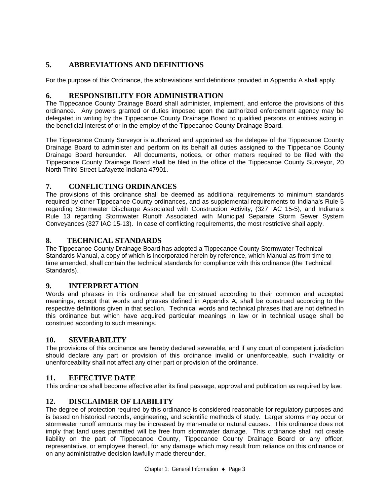## **5. ABBREVIATIONS AND DEFINITIONS**

For the purpose of this Ordinance, the abbreviations and definitions provided in Appendix A shall apply.

## **6. RESPONSIBILITY FOR ADMINISTRATION**

The Tippecanoe County Drainage Board shall administer, implement, and enforce the provisions of this ordinance. Any powers granted or duties imposed upon the authorized enforcement agency may be delegated in writing by the Tippecanoe County Drainage Board to qualified persons or entities acting in the beneficial interest of or in the employ of the Tippecanoe County Drainage Board.

The Tippecanoe County Surveyor is authorized and appointed as the delegee of the Tippecanoe County Drainage Board to administer and perform on its behalf all duties assigned to the Tippecanoe County Drainage Board hereunder. All documents, notices, or other matters required to be filed with the Tippecanoe County Drainage Board shall be filed in the office of the Tippecanoe County Surveyor, 20 North Third Street Lafayette Indiana 47901.

## **7. CONFLICTING ORDINANCES**

The provisions of this ordinance shall be deemed as additional requirements to minimum standards required by other Tippecanoe County ordinances, and as supplemental requirements to Indiana's Rule 5 regarding Stormwater Discharge Associated with Construction Activity, (327 IAC 15-5), and Indiana's Rule 13 regarding Stormwater Runoff Associated with Municipal Separate Storm Sewer System Conveyances (327 IAC 15-13). In case of conflicting requirements, the most restrictive shall apply.

## **8. TECHNICAL STANDARDS**

The Tippecanoe County Drainage Board has adopted a Tippecanoe County Stormwater Technical Standards Manual, a copy of which is incorporated herein by reference, which Manual as from time to time amended, shall contain the technical standards for compliance with this ordinance (the Technical Standards).

## **9. INTERPRETATION**

Words and phrases in this ordinance shall be construed according to their common and accepted meanings, except that words and phrases defined in Appendix A, shall be construed according to the respective definitions given in that section. Technical words and technical phrases that are not defined in this ordinance but which have acquired particular meanings in law or in technical usage shall be construed according to such meanings.

## **10. SEVERABILITY**

The provisions of this ordinance are hereby declared severable, and if any court of competent jurisdiction should declare any part or provision of this ordinance invalid or unenforceable, such invalidity or unenforceability shall not affect any other part or provision of the ordinance.

## **11. EFFECTIVE DATE**

This ordinance shall become effective after its final passage, approval and publication as required by law.

## **12. DISCLAIMER OF LIABILITY**

The degree of protection required by this ordinance is considered reasonable for regulatory purposes and is based on historical records, engineering, and scientific methods of study. Larger storms may occur or stormwater runoff amounts may be increased by man-made or natural causes. This ordinance does not imply that land uses permitted will be free from stormwater damage. This ordinance shall not create liability on the part of Tippecanoe County, Tippecanoe County Drainage Board or any officer, representative, or employee thereof, for any damage which may result from reliance on this ordinance or on any administrative decision lawfully made thereunder.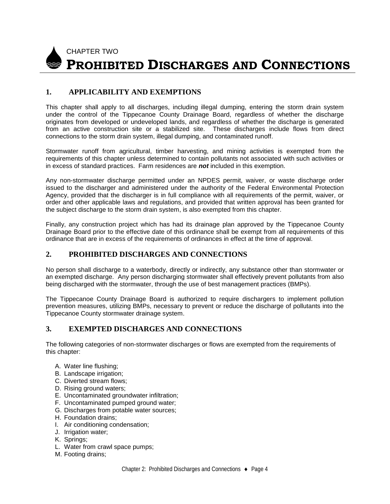

## **1. APPLICABILITY AND EXEMPTIONS**

This chapter shall apply to all discharges, including illegal dumping, entering the storm drain system under the control of the Tippecanoe County Drainage Board, regardless of whether the discharge originates from developed or undeveloped lands, and regardless of whether the discharge is generated from an active construction site or a stabilized site. These discharges include flows from direct connections to the storm drain system, illegal dumping, and contaminated runoff.

Stormwater runoff from agricultural, timber harvesting, and mining activities is exempted from the requirements of this chapter unless determined to contain pollutants not associated with such activities or in excess of standard practices. Farm residences are *not* included in this exemption.

Any non-stormwater discharge permitted under an NPDES permit, waiver, or waste discharge order issued to the discharger and administered under the authority of the Federal Environmental Protection Agency, provided that the discharger is in full compliance with all requirements of the permit, waiver, or order and other applicable laws and regulations, and provided that written approval has been granted for the subject discharge to the storm drain system, is also exempted from this chapter.

Finally, any construction project which has had its drainage plan approved by the Tippecanoe County Drainage Board prior to the effective date of this ordinance shall be exempt from all requirements of this ordinance that are in excess of the requirements of ordinances in effect at the time of approval.

#### **2. PROHIBITED DISCHARGES AND CONNECTIONS**

No person shall discharge to a waterbody, directly or indirectly, any substance other than stormwater or an exempted discharge. Any person discharging stormwater shall effectively prevent pollutants from also being discharged with the stormwater, through the use of best management practices (BMPs).

The Tippecanoe County Drainage Board is authorized to require dischargers to implement pollution prevention measures, utilizing BMPs, necessary to prevent or reduce the discharge of pollutants into the Tippecanoe County stormwater drainage system.

## **3. EXEMPTED DISCHARGES AND CONNECTIONS**

The following categories of non-stormwater discharges or flows are exempted from the requirements of this chapter:

- A. Water line flushing;
- B. Landscape irrigation;
- C. Diverted stream flows;
- D. Rising ground waters;
- E. Uncontaminated groundwater infiltration;
- F. Uncontaminated pumped ground water;
- G. Discharges from potable water sources;
- H. Foundation drains;
- I. Air conditioning condensation;
- J. Irrigation water;
- K. Springs;
- L. Water from crawl space pumps;
- M. Footing drains;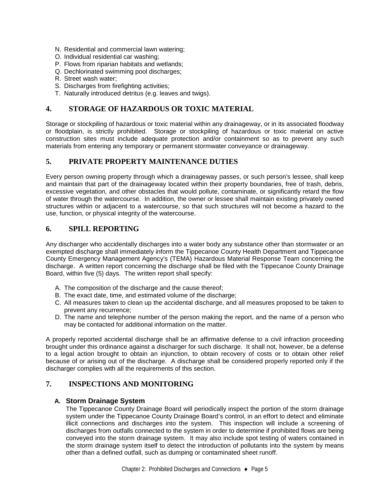- N. Residential and commercial lawn watering;
- O. Individual residential car washing;
- P. Flows from riparian habitats and wetlands;
- Q. Dechlorinated swimming pool discharges;
- R. Street wash water;
- S. Discharges from firefighting activities:
- T. Naturally introduced detritus (e.g. leaves and twigs).

## **4. STORAGE OF HAZARDOUS OR TOXIC MATERIAL**

Storage or stockpiling of hazardous or toxic material within any drainageway, or in its associated floodway or floodplain, is strictly prohibited. Storage or stockpiling of hazardous or toxic material on active construction sites must include adequate protection and/or containment so as to prevent any such materials from entering any temporary or permanent stormwater conveyance or drainageway.

#### **5. PRIVATE PROPERTY MAINTENANCE DUTIES**

Every person owning property through which a drainageway passes, or such person's lessee, shall keep and maintain that part of the drainageway located within their property boundaries, free of trash, debris, excessive vegetation, and other obstacles that would pollute, contaminate, or significantly retard the flow of water through the watercourse. In addition, the owner or lessee shall maintain existing privately owned structures within or adjacent to a watercourse, so that such structures will not become a hazard to the use, function, or physical integrity of the watercourse.

#### **6. SPILL REPORTING**

Any discharger who accidentally discharges into a water body any substance other than stormwater or an exempted discharge shall immediately inform the Tippecanoe County Health Department and Tippecanoe County Emergency Management Agency's (TEMA) Hazardous Material Response Team concerning the discharge. A written report concerning the discharge shall be filed with the Tippecanoe County Drainage Board, within five (5) days. The written report shall specify:

- A. The composition of the discharge and the cause thereof;
- B. The exact date, time, and estimated volume of the discharge;
- C. All measures taken to clean up the accidental discharge, and all measures proposed to be taken to prevent any recurrence;
- D. The name and telephone number of the person making the report, and the name of a person who may be contacted for additional information on the matter.

A properly reported accidental discharge shall be an affirmative defense to a civil infraction proceeding brought under this ordinance against a discharger for such discharge. It shall not, however, be a defense to a legal action brought to obtain an injunction, to obtain recovery of costs or to obtain other relief because of or arising out of the discharge. A discharge shall be considered properly reported only if the discharger complies with all the requirements of this section.

## **7. INSPECTIONS AND MONITORING**

#### **A. Storm Drainage System**

The Tippecanoe County Drainage Board will periodically inspect the portion of the storm drainage system under the Tippecanoe County Drainage Board's control, in an effort to detect and eliminate illicit connections and discharges into the system. This inspection will include a screening of discharges from outfalls connected to the system in order to determine if prohibited flows are being conveyed into the storm drainage system. It may also include spot testing of waters contained in the storm drainage system itself to detect the introduction of pollutants into the system by means other than a defined outfall, such as dumping or contaminated sheet runoff.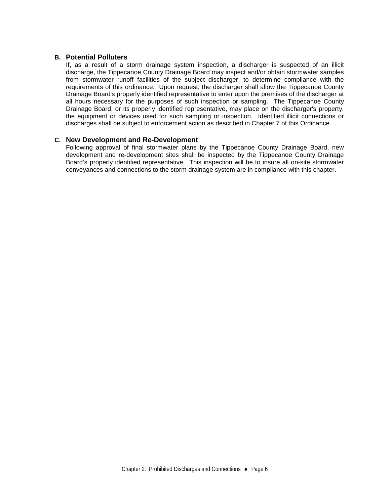#### **B. Potential Polluters**

If, as a result of a storm drainage system inspection, a discharger is suspected of an illicit discharge, the Tippecanoe County Drainage Board may inspect and/or obtain stormwater samples from stormwater runoff facilities of the subject discharger, to determine compliance with the requirements of this ordinance. Upon request, the discharger shall allow the Tippecanoe County Drainage Board's properly identified representative to enter upon the premises of the discharger at all hours necessary for the purposes of such inspection or sampling. The Tippecanoe County Drainage Board, or its properly identified representative, may place on the discharger's property, the equipment or devices used for such sampling or inspection. Identified illicit connections or discharges shall be subject to enforcement action as described in Chapter 7 of this Ordinance.

#### **C. New Development and Re-Development**

Following approval of final stormwater plans by the Tippecanoe County Drainage Board, new development and re-development sites shall be inspected by the Tippecanoe County Drainage Board's properly identified representative. This inspection will be to insure all on-site stormwater conveyances and connections to the storm drainage system are in compliance with this chapter.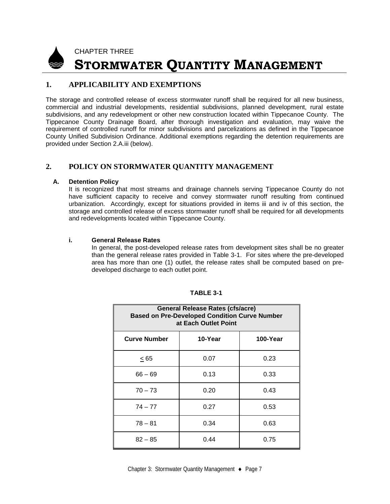

## CHAPTER THREE **STORMWATER QUANTITY MANAGEMENT**

## **1. APPLICABILITY AND EXEMPTIONS**

The storage and controlled release of excess stormwater runoff shall be required for all new business, commercial and industrial developments, residential subdivisions, planned development, rural estate subdivisions, and any redevelopment or other new construction located within Tippecanoe County. The Tippecanoe County Drainage Board, after thorough investigation and evaluation, may waive the requirement of controlled runoff for minor subdivisions and parcelizations as defined in the Tippecanoe County Unified Subdivision Ordinance. Additional exemptions regarding the detention requirements are provided under Section 2.A.iii (below).

## **2. POLICY ON STORMWATER QUANTITY MANAGEMENT**

#### **A. Detention Policy**

It is recognized that most streams and drainage channels serving Tippecanoe County do not have sufficient capacity to receive and convey stormwater runoff resulting from continued urbanization. Accordingly, except for situations provided in items iii and iv of this section, the storage and controlled release of excess stormwater runoff shall be required for all developments and redevelopments located within Tippecanoe County.

#### **i. General Release Rates**

In general, the post-developed release rates from development sites shall be no greater than the general release rates provided in Table 3-1. For sites where the pre-developed area has more than one (1) outlet, the release rates shall be computed based on predeveloped discharge to each outlet point.

| <b>General Release Rates (cfs/acre)</b><br><b>Based on Pre-Developed Condition Curve Number</b><br>at Each Outlet Point |         |          |  |  |  |  |  |  |  |  |  |
|-------------------------------------------------------------------------------------------------------------------------|---------|----------|--|--|--|--|--|--|--|--|--|
| <b>Curve Number</b>                                                                                                     | 10-Year | 100-Year |  |  |  |  |  |  |  |  |  |
| < 65                                                                                                                    | 0.07    | 0.23     |  |  |  |  |  |  |  |  |  |
| $66 - 69$                                                                                                               | 0.13    | 0.33     |  |  |  |  |  |  |  |  |  |
| $70 - 73$                                                                                                               | 0.20    | 0.43     |  |  |  |  |  |  |  |  |  |
| $74 - 77$                                                                                                               | 0.27    | 0.53     |  |  |  |  |  |  |  |  |  |
| $78 - 81$                                                                                                               | 0.34    | 0.63     |  |  |  |  |  |  |  |  |  |
| $82 - 85$                                                                                                               | 0.44    | 0.75     |  |  |  |  |  |  |  |  |  |

#### **TABLE 3-1**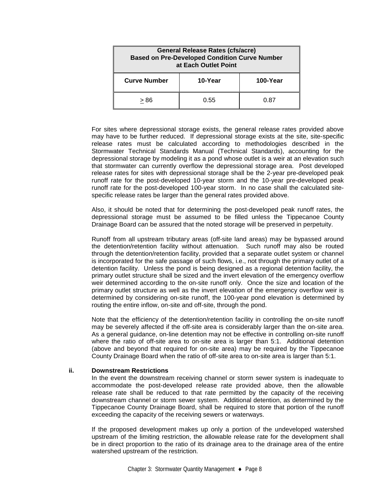| <b>General Release Rates (cfs/acre)</b><br><b>Based on Pre-Developed Condition Curve Number</b><br>at Each Outlet Point |         |          |  |  |  |  |  |  |  |
|-------------------------------------------------------------------------------------------------------------------------|---------|----------|--|--|--|--|--|--|--|
| <b>Curve Number</b>                                                                                                     | 10-Year | 100-Year |  |  |  |  |  |  |  |
| > 86                                                                                                                    | 0.55    | 0.87     |  |  |  |  |  |  |  |

For sites where depressional storage exists, the general release rates provided above may have to be further reduced. If depressional storage exists at the site, site-specific release rates must be calculated according to methodologies described in the Stormwater Technical Standards Manual (Technical Standards), accounting for the depressional storage by modeling it as a pond whose outlet is a weir at an elevation such that stormwater can currently overflow the depressional storage area. Post developed release rates for sites with depressional storage shall be the 2-year pre-developed peak runoff rate for the post-developed 10-year storm and the 10-year pre-developed peak runoff rate for the post-developed 100-year storm. In no case shall the calculated sitespecific release rates be larger than the general rates provided above.

Also, it should be noted that for determining the post-developed peak runoff rates, the depressional storage must be assumed to be filled unless the Tippecanoe County Drainage Board can be assured that the noted storage will be preserved in perpetuity.

Runoff from all upstream tributary areas (off-site land areas) may be bypassed around the detention/retention facility without attenuation. Such runoff may also be routed through the detention/retention facility, provided that a separate outlet system or channel is incorporated for the safe passage of such flows, i.e., not through the primary outlet of a detention facility. Unless the pond is being designed as a regional detention facility, the primary outlet structure shall be sized and the invert elevation of the emergency overflow weir determined according to the on-site runoff only. Once the size and location of the primary outlet structure as well as the invert elevation of the emergency overflow weir is determined by considering on-site runoff, the 100-year pond elevation is determined by routing the entire inflow, on-site and off-site, through the pond.

Note that the efficiency of the detention/retention facility in controlling the on-site runoff may be severely affected if the off-site area is considerably larger than the on-site area. As a general guidance, on-line detention may not be effective in controlling on-site runoff where the ratio of off-site area to on-site area is larger than 5:1. Additional detention (above and beyond that required for on-site area) may be required by the Tippecanoe County Drainage Board when the ratio of off-site area to on-site area is larger than 5:1.

#### **ii. Downstream Restrictions**

In the event the downstream receiving channel or storm sewer system is inadequate to accommodate the post-developed release rate provided above, then the allowable release rate shall be reduced to that rate permitted by the capacity of the receiving downstream channel or storm sewer system. Additional detention, as determined by the Tippecanoe County Drainage Board, shall be required to store that portion of the runoff exceeding the capacity of the receiving sewers or waterways.

If the proposed development makes up only a portion of the undeveloped watershed upstream of the limiting restriction, the allowable release rate for the development shall be in direct proportion to the ratio of its drainage area to the drainage area of the entire watershed upstream of the restriction.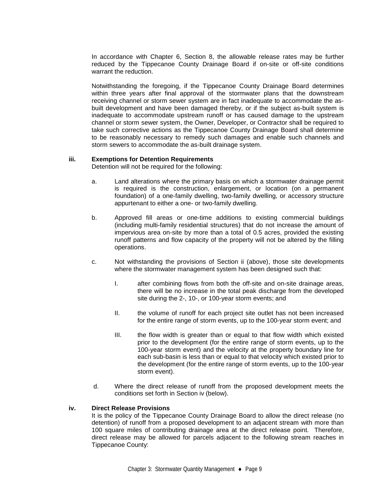In accordance with Chapter 6, Section 8, the allowable release rates may be further reduced by the Tippecanoe County Drainage Board if on-site or off-site conditions warrant the reduction.

Notwithstanding the foregoing, if the Tippecanoe County Drainage Board determines within three years after final approval of the stormwater plans that the downstream receiving channel or storm sewer system are in fact inadequate to accommodate the asbuilt development and have been damaged thereby, or if the subject as-built system is inadequate to accommodate upstream runoff or has caused damage to the upstream channel or storm sewer system, the Owner, Developer, or Contractor shall be required to take such corrective actions as the Tippecanoe County Drainage Board shall determine to be reasonably necessary to remedy such damages and enable such channels and storm sewers to accommodate the as-built drainage system.

#### **iii. Exemptions for Detention Requirements**

Detention will not be required for the following:

- a. Land alterations where the primary basis on which a stormwater drainage permit is required is the construction, enlargement, or location (on a permanent foundation) of a one-family dwelling, two-family dwelling, or accessory structure appurtenant to either a one- or two-family dwelling.
- b. Approved fill areas or one-time additions to existing commercial buildings (including multi-family residential structures) that do not increase the amount of impervious area on-site by more than a total of 0.5 acres, provided the existing runoff patterns and flow capacity of the property will not be altered by the filling operations.
- c. Not withstanding the provisions of Section ii (above), those site developments where the stormwater management system has been designed such that:
	- I. after combining flows from both the off-site and on-site drainage areas, there will be no increase in the total peak discharge from the developed site during the 2-, 10-, or 100-year storm events; and
	- II. the volume of runoff for each project site outlet has not been increased for the entire range of storm events, up to the 100-year storm event; and
	- III. the flow width is greater than or equal to that flow width which existed prior to the development (for the entire range of storm events, up to the 100-year storm event) and the velocity at the property boundary line for each sub-basin is less than or equal to that velocity which existed prior to the development (for the entire range of storm events, up to the 100-year storm event).
- d. Where the direct release of runoff from the proposed development meets the conditions set forth in Section iv (below).

#### **iv. Direct Release Provisions**

It is the policy of the Tippecanoe County Drainage Board to allow the direct release (no detention) of runoff from a proposed development to an adjacent stream with more than 100 square miles of contributing drainage area at the direct release point. Therefore, direct release may be allowed for parcels adjacent to the following stream reaches in Tippecanoe County: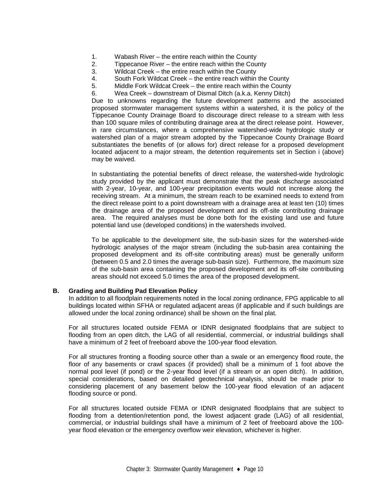- 1. Wabash River the entire reach within the County
- 2. Tippecanoe River the entire reach within the County<br>3. Wildcat Creek the entire reach within the County
- Wildcat Creek the entire reach within the County
- 4. South Fork Wildcat Creek the entire reach within the County
- 5. Middle Fork Wildcat Creek the entire reach within the County
- 6. Wea Creek downstream of Dismal Ditch (a.k.a. Kenny Ditch)

Due to unknowns regarding the future development patterns and the associated proposed stormwater management systems within a watershed, it is the policy of the Tippecanoe County Drainage Board to discourage direct release to a stream with less than 100 square miles of contributing drainage area at the direct release point. However, in rare circumstances, where a comprehensive watershed-wide hydrologic study or watershed plan of a major stream adopted by the Tippecanoe County Drainage Board substantiates the benefits of (or allows for) direct release for a proposed development located adjacent to a major stream, the detention requirements set in Section i (above) may be waived.

In substantiating the potential benefits of direct release, the watershed-wide hydrologic study provided by the applicant must demonstrate that the peak discharge associated with 2-year, 10-year, and 100-year precipitation events would not increase along the receiving stream. At a minimum, the stream reach to be examined needs to extend from the direct release point to a point downstream with a drainage area at least ten (10) times the drainage area of the proposed development and its off-site contributing drainage area. The required analyses must be done both for the existing land use and future potential land use (developed conditions) in the watersheds involved.

To be applicable to the development site, the sub-basin sizes for the watershed-wide hydrologic analyses of the major stream (including the sub-basin area containing the proposed development and its off-site contributing areas) must be generally uniform (between 0.5 and 2.0 times the average sub-basin size). Furthermore, the maximum size of the sub-basin area containing the proposed development and its off-site contributing areas should not exceed 5.0 times the area of the proposed development.

#### **B. Grading and Building Pad Elevation Policy**

In addition to all floodplain requirements noted in the local zoning ordinance, FPG applicable to all buildings located within SFHA or regulated adjacent areas (if applicable and if such buildings are allowed under the local zoning ordinance) shall be shown on the final plat.

For all structures located outside FEMA or IDNR designated floodplains that are subject to flooding from an open ditch, the LAG of all residential, commercial, or industrial buildings shall have a minimum of 2 feet of freeboard above the 100-year flood elevation.

For all structures fronting a flooding source other than a swale or an emergency flood route, the floor of any basements or crawl spaces (if provided) shall be a minimum of 1 foot above the normal pool level (if pond) or the 2-year flood level (if a stream or an open ditch). In addition, special considerations, based on detailed geotechnical analysis, should be made prior to considering placement of any basement below the 100-year flood elevation of an adjacent flooding source or pond.

For all structures located outside FEMA or IDNR designated floodplains that are subject to flooding from a detention/retention pond, the lowest adjacent grade (LAG) of all residential, commercial, or industrial buildings shall have a minimum of 2 feet of freeboard above the 100 year flood elevation or the emergency overflow weir elevation, whichever is higher.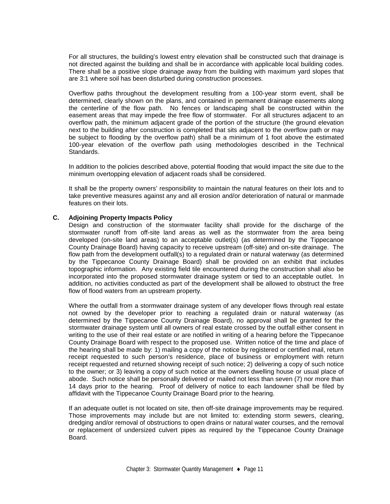For all structures, the building's lowest entry elevation shall be constructed such that drainage is not directed against the building and shall be in accordance with applicable local building codes. There shall be a positive slope drainage away from the building with maximum yard slopes that are 3:1 where soil has been disturbed during construction processes.

Overflow paths throughout the development resulting from a 100-year storm event, shall be determined, clearly shown on the plans, and contained in permanent drainage easements along the centerline of the flow path. No fences or landscaping shall be constructed within the easement areas that may impede the free flow of stormwater. For all structures adjacent to an overflow path, the minimum adjacent grade of the portion of the structure (the ground elevation next to the building after construction is completed that sits adjacent to the overflow path or may be subject to flooding by the overflow path) shall be a minimum of 1 foot above the estimated 100-year elevation of the overflow path using methodologies described in the Technical Standards.

In addition to the policies described above, potential flooding that would impact the site due to the minimum overtopping elevation of adjacent roads shall be considered.

It shall be the property owners' responsibility to maintain the natural features on their lots and to take preventive measures against any and all erosion and/or deterioration of natural or manmade features on their lots.

#### **C. Adjoining Property Impacts Policy**

Design and construction of the stormwater facility shall provide for the discharge of the stormwater runoff from off-site land areas as well as the stormwater from the area being developed (on-site land areas) to an acceptable outlet(s) (as determined by the Tippecanoe County Drainage Board) having capacity to receive upstream (off-site) and on-site drainage. The flow path from the development outfall(s) to a regulated drain or natural waterway (as determined by the Tippecanoe County Drainage Board) shall be provided on an exhibit that includes topographic information. Any existing field tile encountered during the construction shall also be incorporated into the proposed stormwater drainage system or tied to an acceptable outlet. In addition, no activities conducted as part of the development shall be allowed to obstruct the free flow of flood waters from an upstream property.

Where the outfall from a stormwater drainage system of any developer flows through real estate not owned by the developer prior to reaching a regulated drain or natural waterway (as determined by the Tippecanoe County Drainage Board), no approval shall be granted for the stormwater drainage system until all owners of real estate crossed by the outfall either consent in writing to the use of their real estate or are notified in writing of a hearing before the Tippecanoe County Drainage Board with respect to the proposed use. Written notice of the time and place of the hearing shall be made by: 1) mailing a copy of the notice by registered or certified mail, return receipt requested to such person's residence, place of business or employment with return receipt requested and returned showing receipt of such notice; 2) delivering a copy of such notice to the owner; or 3) leaving a copy of such notice at the owners dwelling house or usual place of abode. Such notice shall be personally delivered or mailed not less than seven (7) nor more than 14 days prior to the hearing. Proof of delivery of notice to each landowner shall be filed by affidavit with the Tippecanoe County Drainage Board prior to the hearing.

If an adequate outlet is not located on site, then off-site drainage improvements may be required. Those improvements may include but are not limited to: extending storm sewers, clearing, dredging and/or removal of obstructions to open drains or natural water courses, and the removal or replacement of undersized culvert pipes as required by the Tippecanoe County Drainage Board.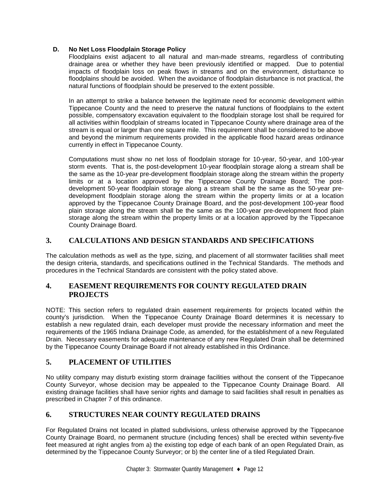#### **D. No Net Loss Floodplain Storage Policy**

Floodplains exist adjacent to all natural and man-made streams, regardless of contributing drainage area or whether they have been previously identified or mapped. Due to potential impacts of floodplain loss on peak flows in streams and on the environment, disturbance to floodplains should be avoided. When the avoidance of floodplain disturbance is not practical, the natural functions of floodplain should be preserved to the extent possible.

In an attempt to strike a balance between the legitimate need for economic development within Tippecanoe County and the need to preserve the natural functions of floodplains to the extent possible, compensatory excavation equivalent to the floodplain storage lost shall be required for all activities within floodplain of streams located in Tippecanoe County where drainage area of the stream is equal or larger than one square mile. This requirement shall be considered to be above and beyond the minimum requirements provided in the applicable flood hazard areas ordinance currently in effect in Tippecanoe County.

Computations must show no net loss of floodplain storage for 10-year, 50-year, and 100-year storm events. That is, the post-development 10-year floodplain storage along a stream shall be the same as the 10-year pre-development floodplain storage along the stream within the property limits or at a location approved by the Tippecanoe County Drainage Board; The postdevelopment 50-year floodplain storage along a stream shall be the same as the 50-year predevelopment floodplain storage along the stream within the property limits or at a location approved by the Tippecanoe County Drainage Board, and the post-development 100-year flood plain storage along the stream shall be the same as the 100-year pre-development flood plain storage along the stream within the property limits or at a location approved by the Tippecanoe County Drainage Board.

## **3. CALCULATIONS AND DESIGN STANDARDS AND SPECIFICATIONS**

The calculation methods as well as the type, sizing, and placement of all stormwater facilities shall meet the design criteria, standards, and specifications outlined in the Technical Standards. The methods and procedures in the Technical Standards are consistent with the policy stated above.

## **4. EASEMENT REQUIREMENTS FOR COUNTY REGULATED DRAIN PROJECTS**

NOTE: This section refers to regulated drain easement requirements for projects located within the county's jurisdiction. When the Tippecanoe County Drainage Board determines it is necessary to establish a new regulated drain, each developer must provide the necessary information and meet the requirements of the 1965 Indiana Drainage Code, as amended, for the establishment of a new Regulated Drain. Necessary easements for adequate maintenance of any new Regulated Drain shall be determined by the Tippecanoe County Drainage Board if not already established in this Ordinance.

## **5. PLACEMENT OF UTILITIES**

No utility company may disturb existing storm drainage facilities without the consent of the Tippecanoe County Surveyor, whose decision may be appealed to the Tippecanoe County Drainage Board.All existing drainage facilities shall have senior rights and damage to said facilities shall result in penalties as prescribed in Chapter 7 of this ordinance.

## **6. STRUCTURES NEAR COUNTY REGULATED DRAINS**

For Regulated Drains not located in platted subdivisions, unless otherwise approved by the Tippecanoe County Drainage Board, no permanent structure (including fences) shall be erected within seventy-five feet measured at right angles from a) the existing top edge of each bank of an open Regulated Drain, as determined by the Tippecanoe County Surveyor; or b) the center line of a tiled Regulated Drain.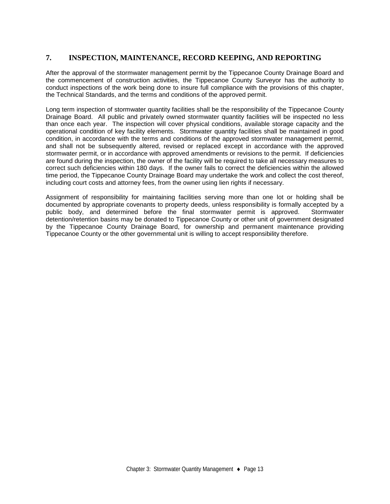## **7. INSPECTION, MAINTENANCE, RECORD KEEPING, AND REPORTING**

After the approval of the stormwater management permit by the Tippecanoe County Drainage Board and the commencement of construction activities, the Tippecanoe County Surveyor has the authority to conduct inspections of the work being done to insure full compliance with the provisions of this chapter, the Technical Standards, and the terms and conditions of the approved permit.

Long term inspection of stormwater quantity facilities shall be the responsibility of the Tippecanoe County Drainage Board. All public and privately owned stormwater quantity facilities will be inspected no less than once each year. The inspection will cover physical conditions, available storage capacity and the operational condition of key facility elements. Stormwater quantity facilities shall be maintained in good condition, in accordance with the terms and conditions of the approved stormwater management permit, and shall not be subsequently altered, revised or replaced except in accordance with the approved stormwater permit, or in accordance with approved amendments or revisions to the permit. If deficiencies are found during the inspection, the owner of the facility will be required to take all necessary measures to correct such deficiencies within 180 days. If the owner fails to correct the deficiencies within the allowed time period, the Tippecanoe County Drainage Board may undertake the work and collect the cost thereof, including court costs and attorney fees, from the owner using lien rights if necessary.

Assignment of responsibility for maintaining facilities serving more than one lot or holding shall be documented by appropriate covenants to property deeds, unless responsibility is formally accepted by a public body, and determined before the final stormwater permit is approved. Stormwater detention/retention basins may be donated to Tippecanoe County or other unit of government designated by the Tippecanoe County Drainage Board, for ownership and permanent maintenance providing Tippecanoe County or the other governmental unit is willing to accept responsibility therefore.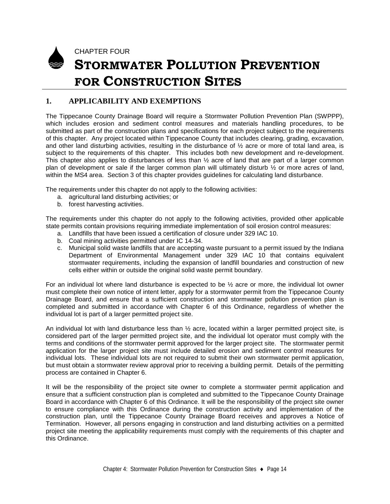

CHAPTER FOUR

# **STORMWATER POLLUTION PREVENTION FOR CONSTRUCTION SITES**

## **1. APPLICABILITY AND EXEMPTIONS**

The Tippecanoe County Drainage Board will require a Stormwater Pollution Prevention Plan (SWPPP), which includes erosion and sediment control measures and materials handling procedures, to be submitted as part of the construction plans and specifications for each project subject to the requirements of this chapter. Any project located within Tippecanoe County that includes clearing, grading, excavation, and other land disturbing activities, resulting in the disturbance of  $\frac{1}{2}$  acre or more of total land area, is subject to the requirements of this chapter. This includes both new development and re-development. This chapter also applies to disturbances of less than  $\frac{1}{2}$  acre of land that are part of a larger common plan of development or sale if the larger common plan will ultimately disturb ½ or more acres of land, within the MS4 area. Section 3 of this chapter provides guidelines for calculating land disturbance.

The requirements under this chapter do not apply to the following activities:

- a. agricultural land disturbing activities; or
- b. forest harvesting activities.

The requirements under this chapter do not apply to the following activities, provided other applicable state permits contain provisions requiring immediate implementation of soil erosion control measures:

- a. Landfills that have been issued a certification of closure under 329 IAC 10.
- b. Coal mining activities permitted under IC 14-34.
- c. Municipal solid waste landfills that are accepting waste pursuant to a permit issued by the Indiana Department of Environmental Management under 329 IAC 10 that contains equivalent stormwater requirements, including the expansion of landfill boundaries and construction of new cells either within or outside the original solid waste permit boundary.

For an individual lot where land disturbance is expected to be ½ acre or more, the individual lot owner must complete their own notice of intent letter, apply for a stormwater permit from the Tippecanoe County Drainage Board, and ensure that a sufficient construction and stormwater pollution prevention plan is completed and submitted in accordance with Chapter 6 of this Ordinance, regardless of whether the individual lot is part of a larger permitted project site.

An individual lot with land disturbance less than ½ acre, located within a larger permitted project site, is considered part of the larger permitted project site, and the individual lot operator must comply with the terms and conditions of the stormwater permit approved for the larger project site. The stormwater permit application for the larger project site must include detailed erosion and sediment control measures for individual lots. These individual lots are not required to submit their own stormwater permit application, but must obtain a stormwater review approval prior to receiving a building permit. Details of the permitting process are contained in Chapter 6.

It will be the responsibility of the project site owner to complete a stormwater permit application and ensure that a sufficient construction plan is completed and submitted to the Tippecanoe County Drainage Board in accordance with Chapter 6 of this Ordinance. It will be the responsibility of the project site owner to ensure compliance with this Ordinance during the construction activity and implementation of the construction plan, until the Tippecanoe County Drainage Board receives and approves a Notice of Termination. However, all persons engaging in construction and land disturbing activities on a permitted project site meeting the applicability requirements must comply with the requirements of this chapter and this Ordinance.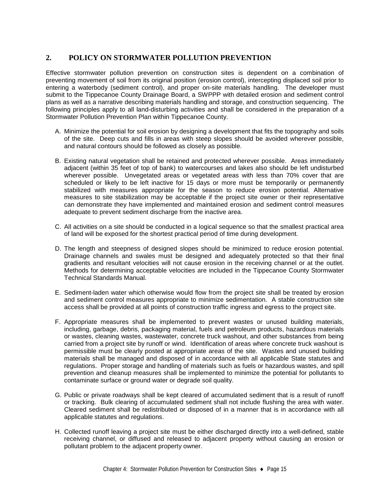## **2. POLICY ON STORMWATER POLLUTION PREVENTION**

Effective stormwater pollution prevention on construction sites is dependent on a combination of preventing movement of soil from its original position (erosion control), intercepting displaced soil prior to entering a waterbody (sediment control), and proper on-site materials handling. The developer must submit to the Tippecanoe County Drainage Board, a SWPPP with detailed erosion and sediment control plans as well as a narrative describing materials handling and storage, and construction sequencing. The following principles apply to all land-disturbing activities and shall be considered in the preparation of a Stormwater Pollution Prevention Plan within Tippecanoe County.

- A. Minimize the potential for soil erosion by designing a development that fits the topography and soils of the site. Deep cuts and fills in areas with steep slopes should be avoided wherever possible, and natural contours should be followed as closely as possible.
- B. Existing natural vegetation shall be retained and protected wherever possible. Areas immediately adjacent (within 35 feet of top of bank) to watercourses and lakes also should be left undisturbed wherever possible. Unvegetated areas or vegetated areas with less than 70% cover that are scheduled or likely to be left inactive for 15 days or more must be temporarily or permanently stabilized with measures appropriate for the season to reduce erosion potential. Alternative measures to site stabilization may be acceptable if the project site owner or their representative can demonstrate they have implemented and maintained erosion and sediment control measures adequate to prevent sediment discharge from the inactive area.
- C. All activities on a site should be conducted in a logical sequence so that the smallest practical area of land will be exposed for the shortest practical period of time during development.
- D. The length and steepness of designed slopes should be minimized to reduce erosion potential. Drainage channels and swales must be designed and adequately protected so that their final gradients and resultant velocities will not cause erosion in the receiving channel or at the outlet. Methods for determining acceptable velocities are included in the Tippecanoe County Stormwater Technical Standards Manual.
- E. Sediment-laden water which otherwise would flow from the project site shall be treated by erosion and sediment control measures appropriate to minimize sedimentation. A stable construction site access shall be provided at all points of construction traffic ingress and egress to the project site.
- F. Appropriate measures shall be implemented to prevent wastes or unused building materials, including, garbage, debris, packaging material, fuels and petroleum products, hazardous materials or wastes, cleaning wastes, wastewater, concrete truck washout, and other substances from being carried from a project site by runoff or wind. Identification of areas where concrete truck washout is permissible must be clearly posted at appropriate areas of the site. Wastes and unused building materials shall be managed and disposed of in accordance with all applicable State statutes and regulations. Proper storage and handling of materials such as fuels or hazardous wastes, and spill prevention and cleanup measures shall be implemented to minimize the potential for pollutants to contaminate surface or ground water or degrade soil quality.
- G. Public or private roadways shall be kept cleared of accumulated sediment that is a result of runoff or tracking. Bulk clearing of accumulated sediment shall not include flushing the area with water. Cleared sediment shall be redistributed or disposed of in a manner that is in accordance with all applicable statutes and regulations.
- H. Collected runoff leaving a project site must be either discharged directly into a well-defined, stable receiving channel, or diffused and released to adjacent property without causing an erosion or pollutant problem to the adjacent property owner.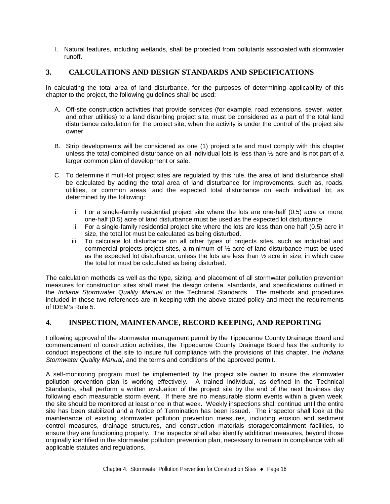I. Natural features, including wetlands, shall be protected from pollutants associated with stormwater runoff.

## **3. CALCULATIONS AND DESIGN STANDARDS AND SPECIFICATIONS**

In calculating the total area of land disturbance, for the purposes of determining applicability of this chapter to the project, the following guidelines shall be used:

- A. Off-site construction activities that provide services (for example, road extensions, sewer, water, and other utilities) to a land disturbing project site, must be considered as a part of the total land disturbance calculation for the project site, when the activity is under the control of the project site owner.
- B. Strip developments will be considered as one (1) project site and must comply with this chapter unless the total combined disturbance on all individual lots is less than  $\frac{1}{2}$  acre and is not part of a larger common plan of development or sale.
- C. To determine if multi-lot project sites are regulated by this rule, the area of land disturbance shall be calculated by adding the total area of land disturbance for improvements, such as, roads, utilities, or common areas, and the expected total disturbance on each individual lot, as determined by the following:
	- i. For a single-family residential project site where the lots are one-half (0.5) acre or more, one-half (0.5) acre of land disturbance must be used as the expected lot disturbance.
	- ii. For a single-family residential project site where the lots are less than one half (0.5) acre in size, the total lot must be calculated as being disturbed.
	- iii. To calculate lot disturbance on all other types of projects sites, such as industrial and commercial projects project sites, a minimum of ½ acre of land disturbance must be used as the expected lot disturbance, unless the lots are less than  $\frac{1}{2}$  acre in size, in which case the total lot must be calculated as being disturbed.

The calculation methods as well as the type, sizing, and placement of all stormwater pollution prevention measures for construction sites shall meet the design criteria, standards, and specifications outlined in the *Indiana Stormwater Quality Manual* or the Technical Standards. The methods and procedures included in these two references are in keeping with the above stated policy and meet the requirements of IDEM's Rule 5.

## **4. INSPECTION, MAINTENANCE, RECORD KEEPING, AND REPORTING**

Following approval of the stormwater management permit by the Tippecanoe County Drainage Board and commencement of construction activities, the Tippecanoe County Drainage Board has the authority to conduct inspections of the site to insure full compliance with the provisions of this chapter, the *Indiana Stormwater Quality Manual*, and the terms and conditions of the approved permit.

A self-monitoring program must be implemented by the project site owner to insure the stormwater pollution prevention plan is working effectively. A trained individual, as defined in the Technical Standards, shall perform a written evaluation of the project site by the end of the next business day following each measurable storm event. If there are no measurable storm events within a given week, the site should be monitored at least once in that week. Weekly inspections shall continue until the entire site has been stabilized and a Notice of Termination has been issued. The inspector shall look at the maintenance of existing stormwater pollution prevention measures, including erosion and sediment control measures, drainage structures, and construction materials storage/containment facilities, to ensure they are functioning properly. The inspector shall also identify additional measures, beyond those originally identified in the stormwater pollution prevention plan, necessary to remain in compliance with all applicable statutes and regulations.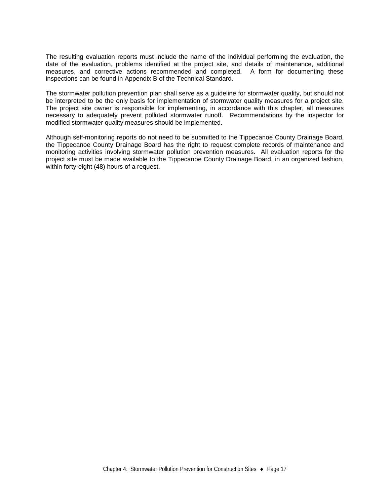The resulting evaluation reports must include the name of the individual performing the evaluation, the date of the evaluation, problems identified at the project site, and details of maintenance, additional measures, and corrective actions recommended and completed. A form for documenting these inspections can be found in Appendix B of the Technical Standard.

The stormwater pollution prevention plan shall serve as a guideline for stormwater quality, but should not be interpreted to be the only basis for implementation of stormwater quality measures for a project site. The project site owner is responsible for implementing, in accordance with this chapter, all measures necessary to adequately prevent polluted stormwater runoff. Recommendations by the inspector for modified stormwater quality measures should be implemented.

Although self-monitoring reports do not need to be submitted to the Tippecanoe County Drainage Board, the Tippecanoe County Drainage Board has the right to request complete records of maintenance and monitoring activities involving stormwater pollution prevention measures. All evaluation reports for the project site must be made available to the Tippecanoe County Drainage Board, in an organized fashion, within forty-eight (48) hours of a request.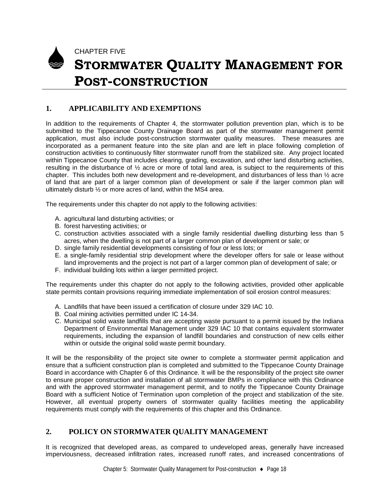

# **STORMWATER QUALITY MANAGEMENT FOR POST-CONSTRUCTION**

## **1. APPLICABILITY AND EXEMPTIONS**

In addition to the requirements of Chapter 4, the stormwater pollution prevention plan, which is to be submitted to the Tippecanoe County Drainage Board as part of the stormwater management permit application, must also include post-construction stormwater quality measures. These measures are incorporated as a permanent feature into the site plan and are left in place following completion of construction activities to continuously filter stormwater runoff from the stabilized site. Any project located within Tippecanoe County that includes clearing, grading, excavation, and other land disturbing activities, resulting in the disturbance of  $\frac{1}{2}$  acre or more of total land area, is subject to the requirements of this chapter. This includes both new development and re-development, and disturbances of less than ½ acre of land that are part of a larger common plan of development or sale if the larger common plan will ultimately disturb ½ or more acres of land, within the MS4 area.

The requirements under this chapter do not apply to the following activities:

- A. agricultural land disturbing activities; or
- B. forest harvesting activities; or

CHAPTER FIVE

- C. construction activities associated with a single family residential dwelling disturbing less than 5 acres, when the dwelling is not part of a larger common plan of development or sale; or
- D. single family residential developments consisting of four or less lots; or
- E. a single-family residential strip development where the developer offers for sale or lease without land improvements and the project is not part of a larger common plan of development of sale; or
- F. individual building lots within a larger permitted project.

The requirements under this chapter do not apply to the following activities, provided other applicable state permits contain provisions requiring immediate implementation of soil erosion control measures:

- A. Landfills that have been issued a certification of closure under 329 IAC 10.
- B. Coal mining activities permitted under IC 14-34.
- C. Municipal solid waste landfills that are accepting waste pursuant to a permit issued by the Indiana Department of Environmental Management under 329 IAC 10 that contains equivalent stormwater requirements, including the expansion of landfill boundaries and construction of new cells either within or outside the original solid waste permit boundary.

It will be the responsibility of the project site owner to complete a stormwater permit application and ensure that a sufficient construction plan is completed and submitted to the Tippecanoe County Drainage Board in accordance with Chapter 6 of this Ordinance. It will be the responsibility of the project site owner to ensure proper construction and installation of all stormwater BMPs in compliance with this Ordinance and with the approved stormwater management permit, and to notify the Tippecanoe County Drainage Board with a sufficient Notice of Termination upon completion of the project and stabilization of the site. However, all eventual property owners of stormwater quality facilities meeting the applicability requirements must comply with the requirements of this chapter and this Ordinance.

## **2. POLICY ON STORMWATER QUALITY MANAGEMENT**

It is recognized that developed areas, as compared to undeveloped areas, generally have increased imperviousness, decreased infiltration rates, increased runoff rates, and increased concentrations of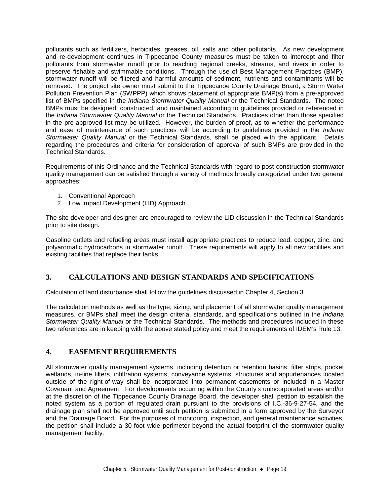pollutants such as fertilizers, herbicides, greases, oil, salts and other pollutants. As new development and re-development continues in Tippecanoe County measures must be taken to intercept and filter pollutants from stormwater runoff prior to reaching regional creeks, streams, and rivers in order to preserve fishable and swimmable conditions. Through the use of Best Management Practices (BMP), stormwater runoff will be filtered and harmful amounts of sediment, nutrients and contaminants will be removed. The project site owner must submit to the Tippecanoe County Drainage Board, a Storm Water Pollution Prevention Plan (SWPPP) which shows placement of appropriate BMP(s) from a pre-approved list of BMPs specified in the *Indiana Stormwater Quality Manual* or the Technical Standards. The noted BMPs must be designed, constructed, and maintained according to guidelines provided or referenced in the *Indiana Stormwater Quality Manual* or the Technical Standards. Practices other than those specified in the pre-approved list may be utilized. However, the burden of proof, as to whether the performance and ease of maintenance of such practices will be according to guidelines provided in the *Indiana Stormwater Quality Manual* or the Technical Standards, shall be placed with the applicant. Details regarding the procedures and criteria for consideration of approval of such BMPs are provided in the Technical Standards.

Requirements of this Ordinance and the Technical Standards with regard to post-construction stormwater quality management can be satisfied through a variety of methods broadly categorized under two general approaches:

- 1. Conventional Approach
- 2. Low Impact Development (LID) Approach

The site developer and designer are encouraged to review the LID discussion in the Technical Standards prior to site design.

Gasoline outlets and refueling areas must install appropriate practices to reduce lead, copper, zinc, and polyaromatic hydrocarbons in stormwater runoff. These requirements will apply to all new facilities and existing facilities that replace their tanks.

## **3. CALCULATIONS AND DESIGN STANDARDS AND SPECIFICATIONS**

Calculation of land disturbance shall follow the guidelines discussed in Chapter 4, Section 3.

The calculation methods as well as the type, sizing, and placement of all stormwater quality management measures, or BMPs shall meet the design criteria, standards, and specifications outlined in the *Indiana Stormwater Quality Manual* or the Technical Standards. The methods and procedures included in these two references are in keeping with the above stated policy and meet the requirements of IDEM's Rule 13.

#### **4. EASEMENT REQUIREMENTS**

All stormwater quality management systems, including detention or retention basins, filter strips, pocket wetlands, in-line filters, infiltration systems, conveyance systems, structures and appurtenances located outside of the right-of-way shall be incorporated into permanent easements or included in a Master Covenant and Agreement. For developments occurring within the County's unincorporated areas and/or at the discretion of the Tippecanoe County Drainage Board, the developer shall petition to establish the noted system as a portion of regulated drain pursuant to the provisions of I.C.-36-9-27-54, and the drainage plan shall not be approved until such petition is submitted in a form approved by the Surveyor and the Drainage Board. For the purposes of monitoring, inspection, and general maintenance activities, the petition shall include a 30-foot wide perimeter beyond the actual footprint of the stormwater quality management facility.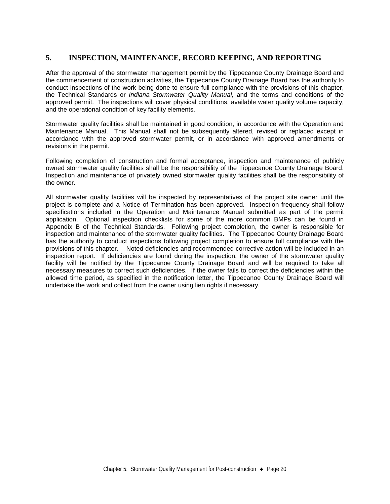## **5. INSPECTION, MAINTENANCE, RECORD KEEPING, AND REPORTING**

After the approval of the stormwater management permit by the Tippecanoe County Drainage Board and the commencement of construction activities, the Tippecanoe County Drainage Board has the authority to conduct inspections of the work being done to ensure full compliance with the provisions of this chapter, the Technical Standards or *Indiana Stormwater Quality Manual,* and the terms and conditions of the approved permit. The inspections will cover physical conditions, available water quality volume capacity, and the operational condition of key facility elements.

Stormwater quality facilities shall be maintained in good condition, in accordance with the Operation and Maintenance Manual. This Manual shall not be subsequently altered, revised or replaced except in accordance with the approved stormwater permit, or in accordance with approved amendments or revisions in the permit.

Following completion of construction and formal acceptance, inspection and maintenance of publicly owned stormwater quality facilities shall be the responsibility of the Tippecanoe County Drainage Board. Inspection and maintenance of privately owned stormwater quality facilities shall be the responsibility of the owner.

All stormwater quality facilities will be inspected by representatives of the project site owner until the project is complete and a Notice of Termination has been approved. Inspection frequency shall follow specifications included in the Operation and Maintenance Manual submitted as part of the permit application. Optional inspection checklists for some of the more common BMPs can be found in Appendix B of the Technical Standards. Following project completion, the owner is responsible for inspection and maintenance of the stormwater quality facilities. The Tippecanoe County Drainage Board has the authority to conduct inspections following project completion to ensure full compliance with the provisions of this chapter. Noted deficiencies and recommended corrective action will be included in an inspection report. If deficiencies are found during the inspection, the owner of the stormwater quality facility will be notified by the Tippecanoe County Drainage Board and will be required to take all necessary measures to correct such deficiencies. If the owner fails to correct the deficiencies within the allowed time period, as specified in the notification letter, the Tippecanoe County Drainage Board will undertake the work and collect from the owner using lien rights if necessary.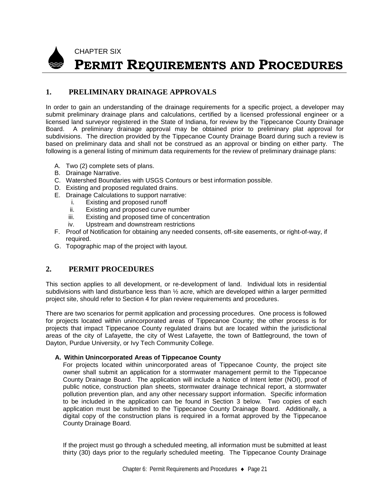

## CHAPTER SIX **PERMIT REQUIREMENTS AND PROCEDURES**

## **1. PRELIMINARY DRAINAGE APPROVALS**

In order to gain an understanding of the drainage requirements for a specific project, a developer may submit preliminary drainage plans and calculations, certified by a licensed professional engineer or a licensed land surveyor registered in the State of Indiana, for review by the Tippecanoe County Drainage Board. A preliminary drainage approval may be obtained prior to preliminary plat approval for subdivisions. The direction provided by the Tippecanoe County Drainage Board during such a review is based on preliminary data and shall not be construed as an approval or binding on either party. The following is a general listing of minimum data requirements for the review of preliminary drainage plans:

- A. Two (2) complete sets of plans.
- B. Drainage Narrative.
- C. Watershed Boundaries with USGS Contours or best information possible.
- D. Existing and proposed regulated drains.
- E. Drainage Calculations to support narrative:
	- i. Existing and proposed runoff
	- ii. Existing and proposed curve number<br>iii. Existing and proposed time of concer
	- Existing and proposed time of concentration
	- iv. Upstream and downstream restrictions
- F. Proof of Notification for obtaining any needed consents, off-site easements, or right-of-way, if required.
- G. Topographic map of the project with layout.

## **2. PERMIT PROCEDURES**

This section applies to all development, or re-development of land. Individual lots in residential subdivisions with land disturbance less than  $\frac{1}{2}$  acre, which are developed within a larger permitted project site, should refer to Section 4 for plan review requirements and procedures.

There are two scenarios for permit application and processing procedures. One process is followed for projects located within unincorporated areas of Tippecanoe County; the other process is for projects that impact Tippecanoe County regulated drains but are located within the jurisdictional areas of the city of Lafayette, the city of West Lafayette, the town of Battleground, the town of Dayton, Purdue University, or Ivy Tech Community College.

#### **A. Within Unincorporated Areas of Tippecanoe County**

For projects located within unincorporated areas of Tippecanoe County, the project site owner shall submit an application for a stormwater management permit to the Tippecanoe County Drainage Board. The application will include a Notice of Intent letter (NOI), proof of public notice, construction plan sheets, stormwater drainage technical report, a stormwater pollution prevention plan, and any other necessary support information. Specific information to be included in the application can be found in Section 3 below. Two copies of each application must be submitted to the Tippecanoe County Drainage Board. Additionally, a digital copy of the construction plans is required in a format approved by the Tippecanoe County Drainage Board.

If the project must go through a scheduled meeting, all information must be submitted at least thirty (30) days prior to the regularly scheduled meeting. The Tippecanoe County Drainage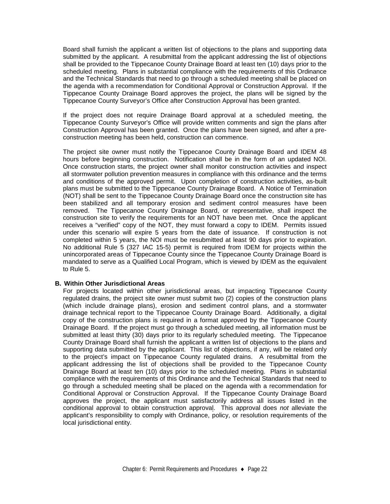Board shall furnish the applicant a written list of objections to the plans and supporting data submitted by the applicant. A resubmittal from the applicant addressing the list of objections shall be provided to the Tippecanoe County Drainage Board at least ten (10) days prior to the scheduled meeting. Plans in substantial compliance with the requirements of this Ordinance and the Technical Standards that need to go through a scheduled meeting shall be placed on the agenda with a recommendation for Conditional Approval or Construction Approval. If the Tippecanoe County Drainage Board approves the project, the plans will be signed by the Tippecanoe County Surveyor's Office after Construction Approval has been granted.

If the project does not require Drainage Board approval at a scheduled meeting, the Tippecanoe County Surveyor's Office will provide written comments and sign the plans after Construction Approval has been granted. Once the plans have been signed, and after a preconstruction meeting has been held, construction can commence.

The project site owner must notify the Tippecanoe County Drainage Board and IDEM 48 hours before beginning construction. Notification shall be in the form of an updated NOI. Once construction starts, the project owner shall monitor construction activities and inspect all stormwater pollution prevention measures in compliance with this ordinance and the terms and conditions of the approved permit. Upon completion of construction activities, as-built plans must be submitted to the Tippecanoe County Drainage Board. A Notice of Termination (NOT) shall be sent to the Tippecanoe County Drainage Board once the construction site has been stabilized and all temporary erosion and sediment control measures have been removed. The Tippecanoe County Drainage Board, or representative, shall inspect the construction site to verify the requirements for an NOT have been met. Once the applicant receives a "verified" copy of the NOT, they must forward a copy to IDEM. Permits issued under this scenario will expire 5 years from the date of issuance. If construction is not completed within 5 years, the NOI must be resubmitted at least 90 days prior to expiration. No additional Rule 5 (327 IAC 15-5) permit is required from IDEM for projects within the unincorporated areas of Tippecanoe County since the Tippecanoe County Drainage Board is mandated to serve as a Qualified Local Program, which is viewed by IDEM as the equivalent to Rule 5.

#### **B. Within Other Jurisdictional Areas**

For projects located within other jurisdictional areas, but impacting Tippecanoe County regulated drains, the project site owner must submit two (2) copies of the construction plans (which include drainage plans), erosion and sediment control plans, and a stormwater drainage technical report to the Tippecanoe County Drainage Board. Additionally, a digital copy of the construction plans is required in a format approved by the Tippecanoe County Drainage Board. If the project must go through a scheduled meeting, all information must be submitted at least thirty (30) days prior to its regularly scheduled meeting. The Tippecanoe County Drainage Board shall furnish the applicant a written list of objections to the plans and supporting data submitted by the applicant. This list of objections, if any, will be related only to the project's impact on Tippecanoe County regulated drains. A resubmittal from the applicant addressing the list of objections shall be provided to the Tippecanoe County Drainage Board at least ten (10) days prior to the scheduled meeting. Plans in substantial compliance with the requirements of this Ordinance and the Technical Standards that need to go through a scheduled meeting shall be placed on the agenda with a recommendation for Conditional Approval or Construction Approval. If the Tippecanoe County Drainage Board approves the project, the applicant must satisfactorily address all issues listed in the conditional approval to obtain construction approval. This approval does *not* alleviate the applicant's responsibility to comply with Ordinance, policy, or resolution requirements of the local jurisdictional entity.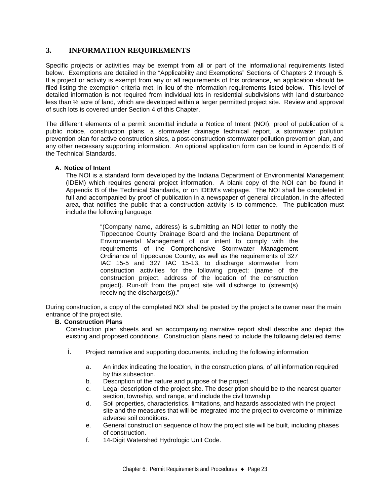## **3. INFORMATION REQUIREMENTS**

Specific projects or activities may be exempt from all or part of the informational requirements listed below. Exemptions are detailed in the "Applicability and Exemptions" Sections of Chapters 2 through 5. If a project or activity is exempt from any or all requirements of this ordinance, an application should be filed listing the exemption criteria met, in lieu of the information requirements listed below. This level of detailed information is not required from individual lots in residential subdivisions with land disturbance less than ½ acre of land, which are developed within a larger permitted project site. Review and approval of such lots is covered under Section 4 of this Chapter.

The different elements of a permit submittal include a Notice of Intent (NOI), proof of publication of a public notice, construction plans, a stormwater drainage technical report, a stormwater pollution prevention plan for active construction sites, a post-construction stormwater pollution prevention plan, and any other necessary supporting information. An optional application form can be found in Appendix B of the Technical Standards.

#### **A. Notice of Intent**

The NOI is a standard form developed by the Indiana Department of Environmental Management (IDEM) which requires general project information. A blank copy of the NOI can be found in Appendix B of the Technical Standards, or on IDEM's webpage. The NOI shall be completed in full and accompanied by proof of publication in a newspaper of general circulation, in the affected area, that notifies the public that a construction activity is to commence. The publication must include the following language:

> "(Company name, address) is submitting an NOI letter to notify the Tippecanoe County Drainage Board and the Indiana Department of Environmental Management of our intent to comply with the requirements of the Comprehensive Stormwater Management Ordinance of Tippecanoe County, as well as the requirements of 327 IAC 15-5 and 327 IAC 15-13, to discharge stormwater from construction activities for the following project: (name of the construction project, address of the location of the construction project). Run-off from the project site will discharge to (stream(s) receiving the discharge(s))."

During construction, a copy of the completed NOI shall be posted by the project site owner near the main entrance of the project site.

#### **B. Construction Plans**

Construction plan sheets and an accompanying narrative report shall describe and depict the existing and proposed conditions. Construction plans need to include the following detailed items:

- i. Project narrative and supporting documents, including the following information:
	- a. An index indicating the location, in the construction plans, of all information required by this subsection.
	- b. Description of the nature and purpose of the project.
	- c. Legal description of the project site. The description should be to the nearest quarter section, township, and range, and include the civil township.
	- d. Soil properties, characteristics, limitations, and hazards associated with the project site and the measures that will be integrated into the project to overcome or minimize adverse soil conditions.
	- e. General construction sequence of how the project site will be built, including phases of construction.
	- f. 14-Digit Watershed Hydrologic Unit Code.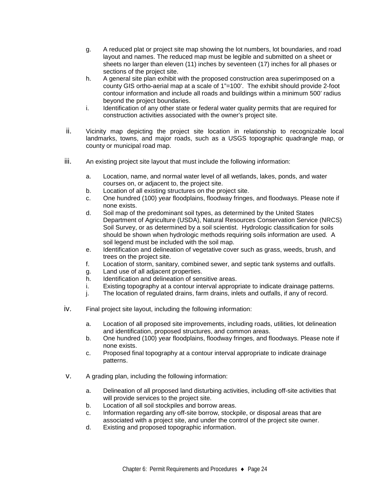- g. A reduced plat or project site map showing the lot numbers, lot boundaries, and road layout and names. The reduced map must be legible and submitted on a sheet or sheets no larger than eleven (11) inches by seventeen (17) inches for all phases or sections of the project site.
- h. A general site plan exhibit with the proposed construction area superimposed on a county GIS ortho-aerial map at a scale of 1"=100'. The exhibit should provide 2-foot contour information and include all roads and buildings within a minimum 500' radius beyond the project boundaries.
- i. Identification of any other state or federal water quality permits that are required for construction activities associated with the owner's project site.
- ii. Vicinity map depicting the project site location in relationship to recognizable local landmarks, towns, and major roads, such as a USGS topographic quadrangle map, or county or municipal road map.
- iii. An existing project site layout that must include the following information:
	- a. Location, name, and normal water level of all wetlands, lakes, ponds, and water courses on, or adjacent to, the project site.
	- b. Location of all existing structures on the project site.
	- c. One hundred (100) year floodplains, floodway fringes, and floodways. Please note if none exists.
	- d. Soil map of the predominant soil types, as determined by the United States Department of Agriculture (USDA), Natural Resources Conservation Service (NRCS) Soil Survey, or as determined by a soil scientist. Hydrologic classification for soils should be shown when hydrologic methods requiring soils information are used. A soil legend must be included with the soil map.
	- e. Identification and delineation of vegetative cover such as grass, weeds, brush, and trees on the project site.
	- f. Location of storm, sanitary, combined sewer, and septic tank systems and outfalls.
	- g. Land use of all adjacent properties.
	- h. Identification and delineation of sensitive areas.
	- i. Existing topography at a contour interval appropriate to indicate drainage patterns.
	- j. The location of regulated drains, farm drains, inlets and outfalls, if any of record.
- iv. Final project site layout, including the following information:
	- a. Location of all proposed site improvements, including roads, utilities, lot delineation and identification, proposed structures, and common areas.
	- b. One hundred (100) year floodplains, floodway fringes, and floodways. Please note if none exists.
	- c. Proposed final topography at a contour interval appropriate to indicate drainage patterns.
- v. A grading plan, including the following information:
	- a. Delineation of all proposed land disturbing activities, including off-site activities that will provide services to the project site.
	- b. Location of all soil stockpiles and borrow areas.
	- c. Information regarding any off-site borrow, stockpile, or disposal areas that are associated with a project site, and under the control of the project site owner.
	- d. Existing and proposed topographic information.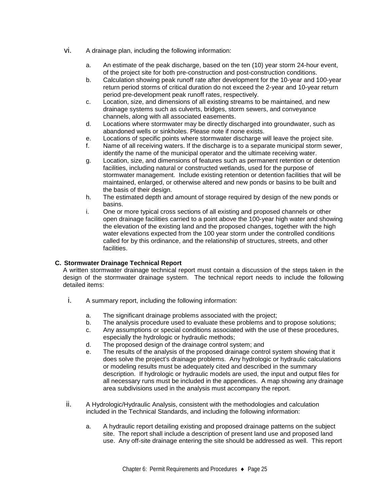- vi. A drainage plan, including the following information:
	- a. An estimate of the peak discharge, based on the ten (10) year storm 24-hour event, of the project site for both pre-construction and post-construction conditions.
	- b. Calculation showing peak runoff rate after development for the 10-year and 100-year return period storms of critical duration do not exceed the 2-year and 10-year return period pre-development peak runoff rates, respectively.
	- c. Location, size, and dimensions of all existing streams to be maintained, and new drainage systems such as culverts, bridges, storm sewers, and conveyance channels, along with all associated easements.
	- d. Locations where stormwater may be directly discharged into groundwater, such as abandoned wells or sinkholes. Please note if none exists.
	- e. Locations of specific points where stormwater discharge will leave the project site.
	- f. Name of all receiving waters. If the discharge is to a separate municipal storm sewer, identify the name of the municipal operator and the ultimate receiving water.
	- g. Location, size, and dimensions of features such as permanent retention or detention facilities, including natural or constructed wetlands, used for the purpose of stormwater management. Include existing retention or detention facilities that will be maintained, enlarged, or otherwise altered and new ponds or basins to be built and the basis of their design.
	- h. The estimated depth and amount of storage required by design of the new ponds or basins.
	- i. One or more typical cross sections of all existing and proposed channels or other open drainage facilities carried to a point above the 100-year high water and showing the elevation of the existing land and the proposed changes, together with the high water elevations expected from the 100 year storm under the controlled conditions called for by this ordinance, and the relationship of structures, streets, and other facilities.

#### **C. Stormwater Drainage Technical Report**

A written stormwater drainage technical report must contain a discussion of the steps taken in the design of the stormwater drainage system. The technical report needs to include the following detailed items:

- i. A summary report, including the following information:
	- a. The significant drainage problems associated with the project;
	- b. The analysis procedure used to evaluate these problems and to propose solutions;
	- c. Any assumptions or special conditions associated with the use of these procedures, especially the hydrologic or hydraulic methods;
	- d. The proposed design of the drainage control system; and
	- e. The results of the analysis of the proposed drainage control system showing that it does solve the project's drainage problems. Any hydrologic or hydraulic calculations or modeling results must be adequately cited and described in the summary description. If hydrologic or hydraulic models are used, the input and output files for all necessary runs must be included in the appendices. A map showing any drainage area subdivisions used in the analysis must accompany the report.
- ii. A Hydrologic/Hydraulic Analysis, consistent with the methodologies and calculation included in the Technical Standards, and including the following information:
	- a. A hydraulic report detailing existing and proposed drainage patterns on the subject site. The report shall include a description of present land use and proposed land use. Any off-site drainage entering the site should be addressed as well. This report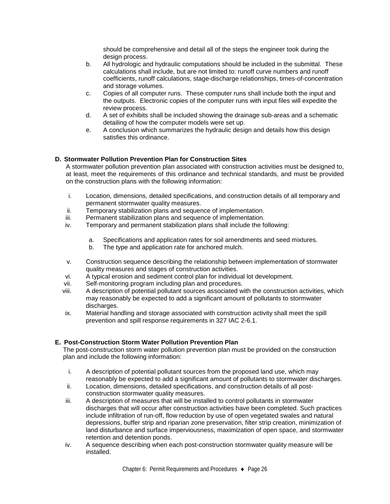should be comprehensive and detail all of the steps the engineer took during the design process.

- b. All hydrologic and hydraulic computations should be included in the submittal. These calculations shall include, but are not limited to: runoff curve numbers and runoff coefficients, runoff calculations, stage-discharge relationships, times-of-concentration and storage volumes.
- c. Copies of all computer runs. These computer runs shall include both the input and the outputs. Electronic copies of the computer runs with input files will expedite the review process.
- d. A set of exhibits shall be included showing the drainage sub-areas and a schematic detailing of how the computer models were set up.
- e. A conclusion which summarizes the hydraulic design and details how this design satisfies this ordinance.

#### **D. Stormwater Pollution Prevention Plan for Construction Sites**

A stormwater pollution prevention plan associated with construction activities must be designed to, at least, meet the requirements of this ordinance and technical standards, and must be provided on the construction plans with the following information:

- i. Location, dimensions, detailed specifications, and construction details of all temporary and permanent stormwater quality measures.
- ii. Temporary stabilization plans and sequence of implementation.
- iii. Permanent stabilization plans and sequence of implementation.
- iv. Temporary and permanent stabilization plans shall include the following:
	- a. Specifications and application rates for soil amendments and seed mixtures.
	- b. The type and application rate for anchored mulch.
- v. Construction sequence describing the relationship between implementation of stormwater quality measures and stages of construction activities.
- vi. A typical erosion and sediment control plan for individual lot development.
- vii. Self-monitoring program including plan and procedures.
- viii. A description of potential pollutant sources associated with the construction activities, which may reasonably be expected to add a significant amount of pollutants to stormwater discharges.
- ix. Material handling and storage associated with construction activity shall meet the spill prevention and spill response requirements in 327 IAC 2-6.1.

#### **E. Post-Construction Storm Water Pollution Prevention Plan**

The post-construction storm water pollution prevention plan must be provided on the construction plan and include the following information:

- i. A description of potential pollutant sources from the proposed land use, which may reasonably be expected to add a significant amount of pollutants to stormwater discharges.
- ii. Location, dimensions, detailed specifications, and construction details of all postconstruction stormwater quality measures.
- iii. A description of measures that will be installed to control pollutants in stormwater discharges that will occur after construction activities have been completed. Such practices include infiltration of run-off, flow reduction by use of open vegetated swales and natural depressions, buffer strip and riparian zone preservation, filter strip creation, minimization of land disturbance and surface imperviousness, maximization of open space, and stormwater retention and detention ponds.
- iv. A sequence describing when each post-construction stormwater quality measure will be installed.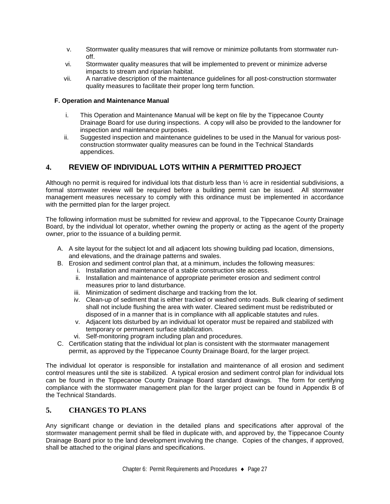- v. Stormwater quality measures that will remove or minimize pollutants from stormwater runoff.
- vi. Stormwater quality measures that will be implemented to prevent or minimize adverse impacts to stream and riparian habitat.
- vii. A narrative description of the maintenance guidelines for all post-construction stormwater quality measures to facilitate their proper long term function.

#### **F. Operation and Maintenance Manual**

- i. This Operation and Maintenance Manual will be kept on file by the Tippecanoe County Drainage Board for use during inspections. A copy will also be provided to the landowner for inspection and maintenance purposes.
- ii. Suggested inspection and maintenance guidelines to be used in the Manual for various postconstruction stormwater quality measures can be found in the Technical Standards appendices.

## **4. REVIEW OF INDIVIDUAL LOTS WITHIN A PERMITTED PROJECT**

Although no permit is required for individual lots that disturb less than ½ acre in residential subdivisions, a formal stormwater review will be required before a building permit can be issued. All stormwater management measures necessary to comply with this ordinance must be implemented in accordance with the permitted plan for the larger project.

The following information must be submitted for review and approval, to the Tippecanoe County Drainage Board, by the individual lot operator, whether owning the property or acting as the agent of the property owner, prior to the issuance of a building permit.

- A. A site layout for the subject lot and all adjacent lots showing building pad location, dimensions, and elevations, and the drainage patterns and swales.
- B. Erosion and sediment control plan that, at a minimum, includes the following measures:
	- i. Installation and maintenance of a stable construction site access.
	- ii. Installation and maintenance of appropriate perimeter erosion and sediment control measures prior to land disturbance.
	- iii. Minimization of sediment discharge and tracking from the lot.
	- iv. Clean-up of sediment that is either tracked or washed onto roads. Bulk clearing of sediment shall not include flushing the area with water. Cleared sediment must be redistributed or disposed of in a manner that is in compliance with all applicable statutes and rules.
	- v. Adjacent lots disturbed by an individual lot operator must be repaired and stabilized with temporary or permanent surface stabilization.
	- vi. Self-monitoring program including plan and procedures.
- C. Certification stating that the individual lot plan is consistent with the stormwater management permit, as approved by the Tippecanoe County Drainage Board, for the larger project.

The individual lot operator is responsible for installation and maintenance of all erosion and sediment control measures until the site is stabilized. A typical erosion and sediment control plan for individual lots can be found in the Tippecanoe County Drainage Board standard drawings. The form for certifying compliance with the stormwater management plan for the larger project can be found in Appendix B of the Technical Standards.

## **5. CHANGES TO PLANS**

Any significant change or deviation in the detailed plans and specifications after approval of the stormwater management permit shall be filed in duplicate with, and approved by, the Tippecanoe County Drainage Board prior to the land development involving the change. Copies of the changes, if approved, shall be attached to the original plans and specifications.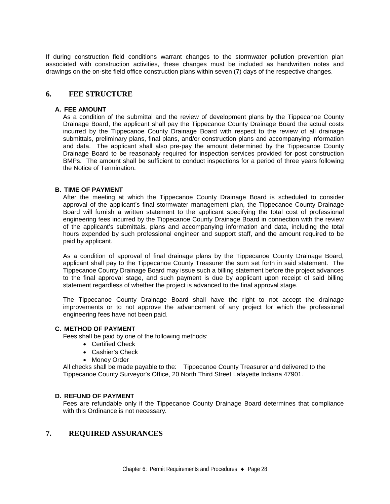If during construction field conditions warrant changes to the stormwater pollution prevention plan associated with construction activities, these changes must be included as handwritten notes and drawings on the on-site field office construction plans within seven (7) days of the respective changes.

#### **6. FEE STRUCTURE**

#### **A. FEE AMOUNT**

As a condition of the submittal and the review of development plans by the Tippecanoe County Drainage Board, the applicant shall pay the Tippecanoe County Drainage Board the actual costs incurred by the Tippecanoe County Drainage Board with respect to the review of all drainage submittals, preliminary plans, final plans, and/or construction plans and accompanying information and data. The applicant shall also pre-pay the amount determined by the Tippecanoe County Drainage Board to be reasonably required for inspection services provided for post construction BMPs. The amount shall be sufficient to conduct inspections for a period of three years following the Notice of Termination.

#### **B. TIME OF PAYMENT**

After the meeting at which the Tippecanoe County Drainage Board is scheduled to consider approval of the applicant's final stormwater management plan, the Tippecanoe County Drainage Board will furnish a written statement to the applicant specifying the total cost of professional engineering fees incurred by the Tippecanoe County Drainage Board in connection with the review of the applicant's submittals, plans and accompanying information and data, including the total hours expended by such professional engineer and support staff, and the amount required to be paid by applicant.

As a condition of approval of final drainage plans by the Tippecanoe County Drainage Board, applicant shall pay to the Tippecanoe County Treasurer the sum set forth in said statement. The Tippecanoe County Drainage Board may issue such a billing statement before the project advances to the final approval stage, and such payment is due by applicant upon receipt of said billing statement regardless of whether the project is advanced to the final approval stage.

The Tippecanoe County Drainage Board shall have the right to not accept the drainage improvements or to not approve the advancement of any project for which the professional engineering fees have not been paid.

#### **C. METHOD OF PAYMENT**

Fees shall be paid by one of the following methods:

- Certified Check
- Cashier's Check
- Money Order

All checks shall be made payable to the: Tippecanoe County Treasurer and delivered to the Tippecanoe County Surveyor's Office, 20 North Third Street Lafayette Indiana 47901.

#### **D. REFUND OF PAYMENT**

Fees are refundable only if the Tippecanoe County Drainage Board determines that compliance with this Ordinance is not necessary.

#### **7. REQUIRED ASSURANCES**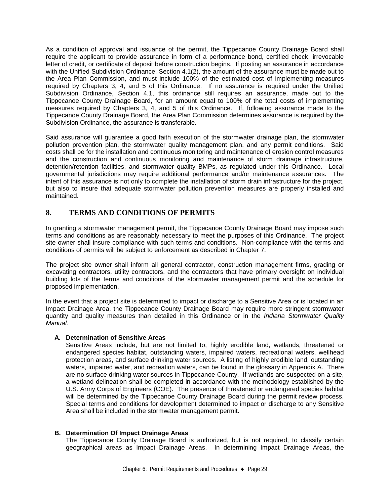As a condition of approval and issuance of the permit, the Tippecanoe County Drainage Board shall require the applicant to provide assurance in form of a performance bond, certified check, irrevocable letter of credit, or certificate of deposit before construction begins. If posting an assurance in accordance with the Unified Subdivision Ordinance, Section 4.1(2), the amount of the assurance must be made out to the Area Plan Commission, and must include 100% of the estimated cost of implementing measures required by Chapters 3, 4, and 5 of this Ordinance. If no assurance is required under the Unified Subdivision Ordinance, Section 4.1, this ordinance still requires an assurance, made out to the Tippecanoe County Drainage Board, for an amount equal to 100% of the total costs of implementing measures required by Chapters 3, 4, and 5 of this Ordinance. If, following assurance made to the Tippecanoe County Drainage Board, the Area Plan Commission determines assurance is required by the Subdivision Ordinance, the assurance is transferable.

Said assurance will guarantee a good faith execution of the stormwater drainage plan, the stormwater pollution prevention plan, the stormwater quality management plan, and any permit conditions. Said costs shall be for the installation and continuous monitoring and maintenance of erosion control measures and the construction and continuous monitoring and maintenance of storm drainage infrastructure, detention/retention facilities, and stormwater quality BMPs, as regulated under this Ordinance. Local governmental jurisdictions may require additional performance and/or maintenance assurances. The intent of this assurance is not only to complete the installation of storm drain infrastructure for the project, but also to insure that adequate stormwater pollution prevention measures are properly installed and maintained.

## **8. TERMS AND CONDITIONS OF PERMITS**

In granting a stormwater management permit, the Tippecanoe County Drainage Board may impose such terms and conditions as are reasonably necessary to meet the purposes of this Ordinance. The project site owner shall insure compliance with such terms and conditions. Non-compliance with the terms and conditions of permits will be subject to enforcement as described in Chapter 7.

The project site owner shall inform all general contractor, construction management firms, grading or excavating contractors, utility contractors, and the contractors that have primary oversight on individual building lots of the terms and conditions of the stormwater management permit and the schedule for proposed implementation.

In the event that a project site is determined to impact or discharge to a Sensitive Area or is located in an Impact Drainage Area, the Tippecanoe County Drainage Board may require more stringent stormwater quantity and quality measures than detailed in this Ordinance or in the *Indiana Stormwater Quality Manual*.

#### **A. Determination of Sensitive Areas**

Sensitive Areas include, but are not limited to, highly erodible land, wetlands, threatened or endangered species habitat, outstanding waters, impaired waters, recreational waters, wellhead protection areas, and surface drinking water sources. A listing of highly erodible land, outstanding waters, impaired water, and recreation waters, can be found in the glossary in Appendix A. There are no surface drinking water sources in Tippecanoe County. If wetlands are suspected on a site, a wetland delineation shall be completed in accordance with the methodology established by the U.S. Army Corps of Engineers (COE). The presence of threatened or endangered species habitat will be determined by the Tippecanoe County Drainage Board during the permit review process. Special terms and conditions for development determined to impact or discharge to any Sensitive Area shall be included in the stormwater management permit.

#### **B. Determination Of Impact Drainage Areas**

The Tippecanoe County Drainage Board is authorized, but is not required, to classify certain geographical areas as Impact Drainage Areas. In determining Impact Drainage Areas, the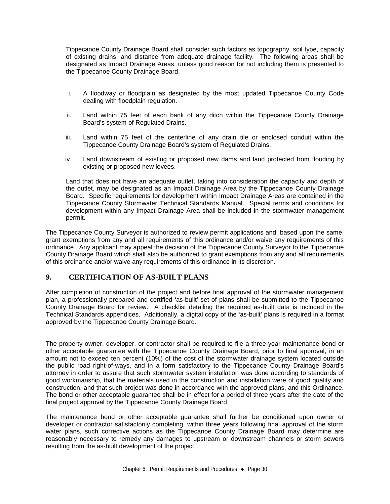Tippecanoe County Drainage Board shall consider such factors as topography, soil type, capacity of existing drains, and distance from adequate drainage facility. The following areas shall be designated as Impact Drainage Areas, unless good reason for not including them is presented to the Tippecanoe County Drainage Board.

- i. A floodway or floodplain as designated by the most updated Tippecanoe County Code dealing with floodplain regulation.
- ii. Land within 75 feet of each bank of any ditch within the Tippecanoe County Drainage Board's system of Regulated Drains.
- iii. Land within 75 feet of the centerline of any drain tile or enclosed conduit within the Tippecanoe County Drainage Board's system of Regulated Drains.
- iv. Land downstream of existing or proposed new dams and land protected from flooding by existing or proposed new levees.

Land that does not have an adequate outlet, taking into consideration the capacity and depth of the outlet, may be designated as an Impact Drainage Area by the Tippecanoe County Drainage Board. Specific requirements for development within Impact Drainage Areas are contained in the Tippecanoe County Stormwater Technical Standards Manual. Special terms and conditions for development within any Impact Drainage Area shall be included in the stormwater management permit.

The Tippecanoe County Surveyor is authorized to review permit applications and, based upon the same, grant exemptions from any and all requirements of this ordinance and/or waive any requirements of this ordinance. Any applicant may appeal the decision of the Tippecanoe County Surveyor to the Tippecanoe County Drainage Board which shall also be authorized to grant exemptions from any and all requirements of this ordinance and/or waive any requirements of this ordinance in its discretion.

## **9. CERTIFICATION OF AS-BUILT PLANS**

After completion of construction of the project and before final approval of the stormwater management plan, a professionally prepared and certified 'as-built' set of plans shall be submitted to the Tippecanoe County Drainage Board for review. A checklist detailing the required as-built data is included in the Technical Standards appendices. Additionally, a digital copy of the 'as-built' plans is required in a format approved by the Tippecanoe County Drainage Board.

The property owner, developer, or contractor shall be required to file a three-year maintenance bond or other acceptable guarantee with the Tippecanoe County Drainage Board, prior to final approval, in an amount not to exceed ten percent (10%) of the cost of the stormwater drainage system located outside the public road right-of-ways, and in a form satisfactory to the Tippecanoe County Drainage Board's attorney in order to assure that such stormwater system installation was done according to standards of good workmanship, that the materials used in the construction and installation were of good quality and construction, and that such project was done in accordance with the approved plans, and this Ordinance. The bond or other acceptable guarantee shall be in effect for a period of three years after the date of the final project approval by the Tippecanoe County Drainage Board.

The maintenance bond or other acceptable guarantee shall further be conditioned upon owner or developer or contractor satisfactorily completing, within three years following final approval of the storm water plans, such corrective actions as the Tippecanoe County Drainage Board may determine are reasonably necessary to remedy any damages to upstream or downstream channels or storm sewers resulting from the as-built development of the project.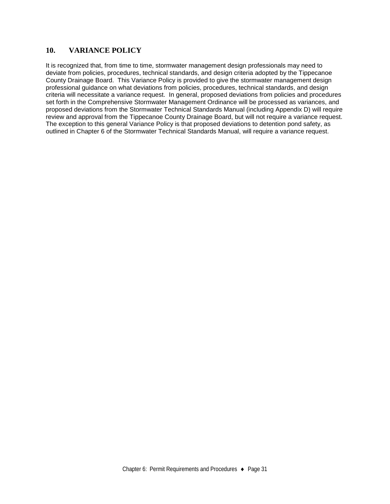## **10. VARIANCE POLICY**

It is recognized that, from time to time, stormwater management design professionals may need to deviate from policies, procedures, technical standards, and design criteria adopted by the Tippecanoe County Drainage Board. This Variance Policy is provided to give the stormwater management design professional guidance on what deviations from policies, procedures, technical standards, and design criteria will necessitate a variance request. In general, proposed deviations from policies and procedures set forth in the Comprehensive Stormwater Management Ordinance will be processed as variances, and proposed deviations from the Stormwater Technical Standards Manual (including Appendix D) will require review and approval from the Tippecanoe County Drainage Board, but will not require a variance request. The exception to this general Variance Policy is that proposed deviations to detention pond safety, as outlined in Chapter 6 of the Stormwater Technical Standards Manual, will require a variance request.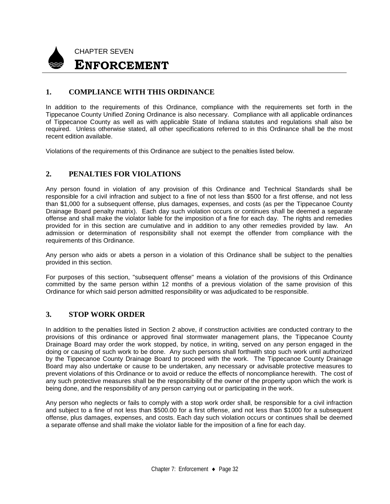

## **1. COMPLIANCE WITH THIS ORDINANCE**

In addition to the requirements of this Ordinance, compliance with the requirements set forth in the Tippecanoe County Unified Zoning Ordinance is also necessary. Compliance with all applicable ordinances of Tippecanoe County as well as with applicable State of Indiana statutes and regulations shall also be required. Unless otherwise stated, all other specifications referred to in this Ordinance shall be the most recent edition available.

Violations of the requirements of this Ordinance are subject to the penalties listed below.

#### **2. PENALTIES FOR VIOLATIONS**

Any person found in violation of any provision of this Ordinance and Technical Standards shall be responsible for a civil infraction and subject to a fine of not less than \$500 for a first offense, and not less than \$1,000 for a subsequent offense, plus damages, expenses, and costs (as per the Tippecanoe County Drainage Board penalty matrix). Each day such violation occurs or continues shall be deemed a separate offense and shall make the violator liable for the imposition of a fine for each day. The rights and remedies provided for in this section are cumulative and in addition to any other remedies provided by law. An admission or determination of responsibility shall not exempt the offender from compliance with the requirements of this Ordinance.

Any person who aids or abets a person in a violation of this Ordinance shall be subject to the penalties provided in this section.

For purposes of this section, "subsequent offense" means a violation of the provisions of this Ordinance committed by the same person within 12 months of a previous violation of the same provision of this Ordinance for which said person admitted responsibility or was adjudicated to be responsible.

#### **3. STOP WORK ORDER**

In addition to the penalties listed in Section 2 above, if construction activities are conducted contrary to the provisions of this ordinance or approved final stormwater management plans, the Tippecanoe County Drainage Board may order the work stopped, by notice, in writing, served on any person engaged in the doing or causing of such work to be done. Any such persons shall forthwith stop such work until authorized by the Tippecanoe County Drainage Board to proceed with the work. The Tippecanoe County Drainage Board may also undertake or cause to be undertaken, any necessary or advisable protective measures to prevent violations of this Ordinance or to avoid or reduce the effects of noncompliance herewith. The cost of any such protective measures shall be the responsibility of the owner of the property upon which the work is being done, and the responsibility of any person carrying out or participating in the work.

Any person who neglects or fails to comply with a stop work order shall, be responsible for a civil infraction and subject to a fine of not less than \$500.00 for a first offense, and not less than \$1000 for a subsequent offense, plus damages, expenses, and costs. Each day such violation occurs or continues shall be deemed a separate offense and shall make the violator liable for the imposition of a fine for each day.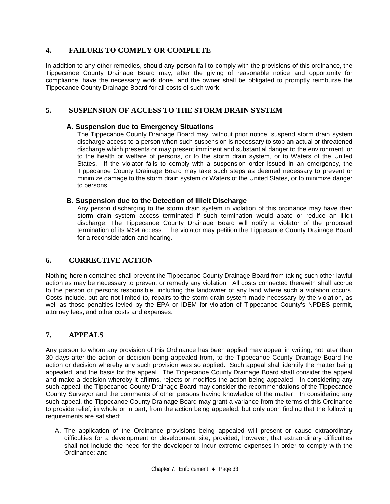## **4. FAILURE TO COMPLY OR COMPLETE**

In addition to any other remedies, should any person fail to comply with the provisions of this ordinance, the Tippecanoe County Drainage Board may, after the giving of reasonable notice and opportunity for compliance, have the necessary work done, and the owner shall be obligated to promptly reimburse the Tippecanoe County Drainage Board for all costs of such work.

## **5. SUSPENSION OF ACCESS TO THE STORM DRAIN SYSTEM**

#### **A. Suspension due to Emergency Situations**

The Tippecanoe County Drainage Board may, without prior notice, suspend storm drain system discharge access to a person when such suspension is necessary to stop an actual or threatened discharge which presents or may present imminent and substantial danger to the environment, or to the health or welfare of persons, or to the storm drain system, or to Waters of the United States. If the violator fails to comply with a suspension order issued in an emergency, the Tippecanoe County Drainage Board may take such steps as deemed necessary to prevent or minimize damage to the storm drain system or Waters of the United States, or to minimize danger to persons.

#### **B. Suspension due to the Detection of Illicit Discharge**

Any person discharging to the storm drain system in violation of this ordinance may have their storm drain system access terminated if such termination would abate or reduce an illicit discharge. The Tippecanoe County Drainage Board will notify a violator of the proposed termination of its MS4 access. The violator may petition the Tippecanoe County Drainage Board for a reconsideration and hearing.

## **6. CORRECTIVE ACTION**

Nothing herein contained shall prevent the Tippecanoe County Drainage Board from taking such other lawful action as may be necessary to prevent or remedy any violation. All costs connected therewith shall accrue to the person or persons responsible, including the landowner of any land where such a violation occurs. Costs include, but are not limited to, repairs to the storm drain system made necessary by the violation, as well as those penalties levied by the EPA or IDEM for violation of Tippecanoe County's NPDES permit, attorney fees, and other costs and expenses.

## **7. APPEALS**

Any person to whom any provision of this Ordinance has been applied may appeal in writing, not later than 30 days after the action or decision being appealed from, to the Tippecanoe County Drainage Board the action or decision whereby any such provision was so applied. Such appeal shall identify the matter being appealed, and the basis for the appeal. The Tippecanoe County Drainage Board shall consider the appeal and make a decision whereby it affirms, rejects or modifies the action being appealed. In considering any such appeal, the Tippecanoe County Drainage Board may consider the recommendations of the Tippecanoe County Surveyor and the comments of other persons having knowledge of the matter. In considering any such appeal, the Tippecanoe County Drainage Board may grant a variance from the terms of this Ordinance to provide relief, in whole or in part, from the action being appealed, but only upon finding that the following requirements are satisfied:

A. The application of the Ordinance provisions being appealed will present or cause extraordinary difficulties for a development or development site; provided, however, that extraordinary difficulties shall not include the need for the developer to incur extreme expenses in order to comply with the Ordinance; and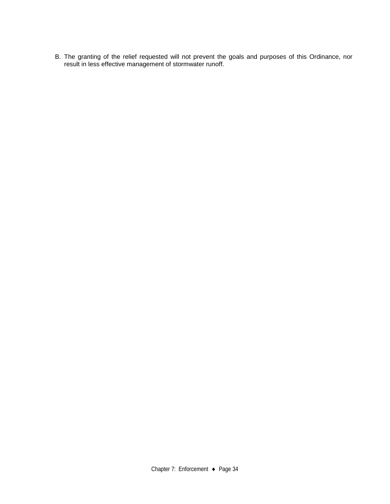B. The granting of the relief requested will not prevent the goals and purposes of this Ordinance, nor result in less effective management of stormwater runoff.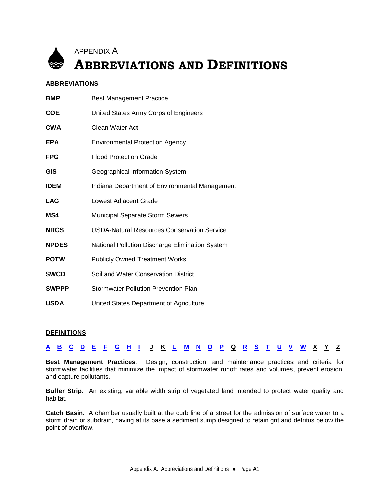

APPENDIX A

## **ABBREVIATIONS AND DEFINITIONS**

#### **ABBREVIATIONS**

| <b>Best Management Practice</b>                    |
|----------------------------------------------------|
| United States Army Corps of Engineers              |
| Clean Water Act                                    |
| <b>Environmental Protection Agency</b>             |
| <b>Flood Protection Grade</b>                      |
| Geographical Information System                    |
| Indiana Department of Environmental Management     |
| Lowest Adjacent Grade                              |
| Municipal Separate Storm Sewers                    |
| <b>USDA-Natural Resources Conservation Service</b> |
| National Pollution Discharge Elimination System    |
| <b>Publicly Owned Treatment Works</b>              |
| Soil and Water Conservation District               |
| Stormwater Pollution Prevention Plan               |
| United States Department of Agriculture            |
|                                                    |

#### **DEFINITIONS**

|  |  |  |  |  |  |  |  |  |  |  | A B C D E F G H I J K L M N O P Q R S T U V W X Y Z |  |  |
|--|--|--|--|--|--|--|--|--|--|--|-----------------------------------------------------|--|--|
|  |  |  |  |  |  |  |  |  |  |  | -----------------------------------                 |  |  |

<span id="page-39-0"></span>**Best Management Practices**. Design, construction, and maintenance practices and criteria for stormwater facilities that minimize the impact of stormwater runoff rates and volumes, prevent erosion, and capture pollutants.

**Buffer Strip.** An existing, variable width strip of vegetated land intended to protect water quality and habitat.

**Catch Basin.** A chamber usually built at the curb line of a street for the admission of surface water to a storm drain or subdrain, having at its base a sediment sump designed to retain grit and detritus below the point of overflow.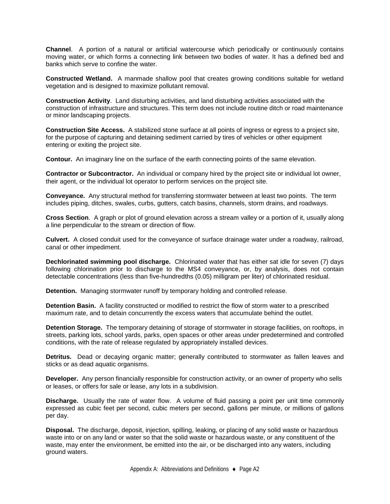**Channel**. A portion of a natural or artificial watercourse which periodically or continuously contains moving water, or which forms a connecting link between two bodies of water. It has a defined bed and banks which serve to confine the water.

**Constructed Wetland.** A manmade shallow pool that creates growing conditions suitable for wetland vegetation and is designed to maximize pollutant removal.

**Construction Activity**. Land disturbing activities, and land disturbing activities associated with the construction of infrastructure and structures. This term does not include routine ditch or road maintenance or minor landscaping projects.

**Construction Site Access.** A stabilized stone surface at all points of ingress or egress to a project site, for the purpose of capturing and detaining sediment carried by tires of vehicles or other equipment entering or exiting the project site.

**Contour.** An imaginary line on the surface of the earth connecting points of the same elevation.

**Contractor or Subcontractor.** An individual or company hired by the project site or individual lot owner, their agent, or the individual lot operator to perform services on the project site.

**Conveyance.** Any structural method for transferring stormwater between at least two points. The term includes piping, ditches, swales, curbs, gutters, catch basins, channels, storm drains, and roadways.

**Cross Section**. A graph or plot of ground elevation across a stream valley or a portion of it, usually along a line perpendicular to the stream or direction of flow.

**Culvert.** A closed conduit used for the conveyance of surface drainage water under a roadway, railroad, canal or other impediment.

<span id="page-40-0"></span>**Dechlorinated swimming pool discharge.** Chlorinated water that has either sat idle for seven (7) days following chlorination prior to discharge to the MS4 conveyance, or, by analysis, does not contain detectable concentrations (less than five-hundredths (0.05) milligram per liter) of chlorinated residual.

**Detention.** Managing stormwater runoff by temporary holding and controlled release.

**Detention Basin.** A facility constructed or modified to restrict the flow of storm water to a prescribed maximum rate, and to detain concurrently the excess waters that accumulate behind the outlet.

**Detention Storage.** The temporary detaining of storage of stormwater in storage facilities, on rooftops, in streets, parking lots, school yards, parks, open spaces or other areas under predetermined and controlled conditions, with the rate of release regulated by appropriately installed devices.

**Detritus.** Dead or decaying organic matter; generally contributed to stormwater as fallen leaves and sticks or as dead aquatic organisms.

**Developer.** Any person financially responsible for construction activity, or an owner of property who sells or leases, or offers for sale or lease, any lots in a subdivision.

**Discharge.** Usually the rate of water flow. A volume of fluid passing a point per unit time commonly expressed as cubic feet per second, cubic meters per second, gallons per minute, or millions of gallons per day.

**Disposal.** The discharge, deposit, injection, spilling, leaking, or placing of any solid waste or hazardous waste into or on any land or water so that the solid waste or hazardous waste, or any constituent of the waste, may enter the environment, be emitted into the air, or be discharged into any waters, including ground waters.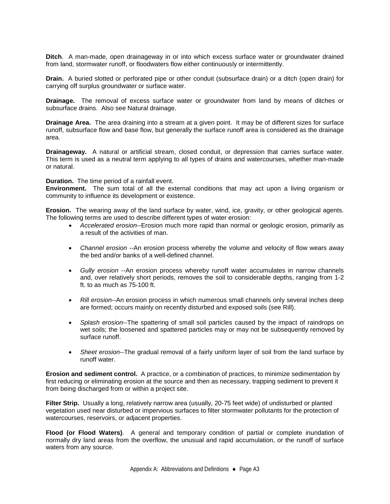**Ditch**. A man-made, open drainageway in or into which excess surface water or groundwater drained from land, stormwater runoff, or floodwaters flow either continuously or intermittently.

**Drain.** A buried slotted or perforated pipe or other conduit (subsurface drain) or a ditch (open drain) for carrying off surplus groundwater or surface water.

**Drainage.** The removal of excess surface water or groundwater from land by means of ditches or subsurface drains. Also see Natural drainage.

**Drainage Area.** The area draining into a stream at a given point. It may be of different sizes for surface runoff, subsurface flow and base flow, but generally the surface runoff area is considered as the drainage area.

**Drainageway.** A natural or artificial stream, closed conduit, or depression that carries surface water. This term is used as a neutral term applying to all types of drains and watercourses, whether man-made or natural.

**Duration.** The time period of a rainfall event.

**Environment.** The sum total of all the external conditions that may act upon a living organism or community to influence its development or existence.

**Erosion.** The wearing away of the land surface by water, wind, ice, gravity, or other geological agents. The following terms are used to describe different types of water erosion:

- <span id="page-41-0"></span>• *Accelerated erosion*--Erosion much more rapid than normal or geologic erosion, primarily as a result of the activities of man.
- *Channel erosion* --An erosion process whereby the volume and velocity of flow wears away the bed and/or banks of a well-defined channel.
- *Gully erosion* --An erosion process whereby runoff water accumulates in narrow channels and, over relatively short periods, removes the soil to considerable depths, ranging from 1-2 ft. to as much as 75-100 ft.
- *Rill erosion*--An erosion process in which numerous small channels only several inches deep are formed; occurs mainly on recently disturbed and exposed soils (see Rill).
- *Splash erosion*--The spattering of small soil particles caused by the impact of raindrops on wet soils; the loosened and spattered particles may or may not be subsequently removed by surface runoff.
- *Sheet erosion*--The gradual removal of a fairly uniform layer of soil from the land surface by runoff water.

**Erosion and sediment control.** A practice, or a combination of practices, to minimize sedimentation by first reducing or eliminating erosion at the source and then as necessary, trapping sediment to prevent it from being discharged from or within a project site.

<span id="page-41-1"></span>**Filter Strip.** Usually a long, relatively narrow area (usually, 20-75 feet wide) of undisturbed or planted vegetation used near disturbed or impervious surfaces to filter stormwater pollutants for the protection of watercourses, reservoirs, or adjacent properties.

**Flood (or Flood Waters)**. A general and temporary condition of partial or complete inundation of normally dry land areas from the overflow, the unusual and rapid accumulation, or the runoff of surface waters from any source.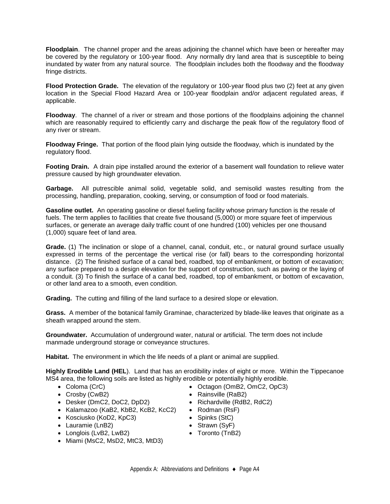**Floodplain**. The channel proper and the areas adjoining the channel which have been or hereafter may be covered by the regulatory or 100-year flood. Any normally dry land area that is susceptible to being inundated by water from any natural source. The floodplain includes both the floodway and the floodway fringe districts.

**Flood Protection Grade.** The elevation of the regulatory or 100-year flood plus two (2) feet at any given location in the Special Flood Hazard Area or 100-year floodplain and/or adjacent regulated areas, if applicable.

**Floodway**. The channel of a river or stream and those portions of the floodplains adjoining the channel which are reasonably required to efficiently carry and discharge the peak flow of the regulatory flood of any river or stream.

**Floodway Fringe.** That portion of the flood plain lying outside the floodway, which is inundated by the regulatory flood.

**Footing Drain.** A drain pipe installed around the exterior of a basement wall foundation to relieve water pressure caused by high groundwater elevation.

<span id="page-42-0"></span>**Garbage.** All putrescible animal solid, vegetable solid, and semisolid wastes resulting from the processing, handling, preparation, cooking, serving, or consumption of food or food materials.

**Gasoline outlet.** An operating gasoline or diesel fueling facility whose primary function is the resale of fuels. The term applies to facilities that create five thousand (5,000) or more square feet of impervious surfaces, or generate an average daily traffic count of one hundred (100) vehicles per one thousand (1,000) square feet of land area.

**Grade.** (1) The inclination or slope of a channel, canal, conduit, etc., or natural ground surface usually expressed in terms of the percentage the vertical rise (or fall) bears to the corresponding horizontal distance. (2) The finished surface of a canal bed, roadbed, top of embankment, or bottom of excavation; any surface prepared to a design elevation for the support of construction, such as paving or the laying of a conduit. (3) To finish the surface of a canal bed, roadbed, top of embankment, or bottom of excavation, or other land area to a smooth, even condition.

**Grading.** The cutting and filling of the land surface to a desired slope or elevation.

**Grass.** A member of the botanical family Graminae, characterized by blade-like leaves that originate as a sheath wrapped around the stem.

**Groundwater.** Accumulation of underground water, natural or artificial. The term does not include manmade underground storage or conveyance structures.

<span id="page-42-1"></span>**Habitat.** The environment in which the life needs of a plant or animal are supplied.

**Highly Erodible Land (HEL**). Land that has an erodibility index of eight or more. Within the Tippecanoe MS4 area, the following soils are listed as highly erodible or potentially highly erodible.

- Coloma (CrC) Octagon (OmB2, OmC2, OpC3)
- Crosby (CwB2) Rainsville (RaB2)
- Desker (DmC2, DoC2, DpD2) Richardville (RdB2, RdC2)
- Kalamazoo (KaB2, KbB2, KcB2, KcC2) Rodman (RsF)
- Kosciusko (KoD2, KpC3) Spinks (StC)
- Lauramie (LnB2) Strawn (SyF)
- Longlois (LvB2, LwB2) Toronto (TnB2)
- Miami (MsC2, MsD2, MtC3, MtD3)
- 
- 
- 
- 
- 
- 
-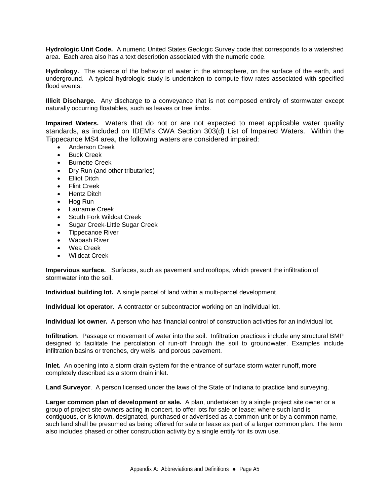**Hydrologic Unit Code.** A numeric United States Geologic Survey code that corresponds to a watershed area. Each area also has a text description associated with the numeric code.

**Hydrology.** The science of the behavior of water in the atmosphere, on the surface of the earth, and underground. A typical hydrologic study is undertaken to compute flow rates associated with specified flood events.

<span id="page-43-0"></span>**Illicit Discharge.** Any discharge to a conveyance that is not composed entirely of stormwater except naturally occurring floatables, such as leaves or tree limbs.

**Impaired Waters.** Waters that do not or are not expected to meet applicable water quality standards, as included on IDEM's CWA Section 303(d) List of Impaired Waters. Within the Tippecanoe MS4 area, the following waters are considered impaired:

- Anderson Creek
- **Buck Creek**
- Burnette Creek
- Dry Run (and other tributaries)
- Elliot Ditch
- Flint Creek
- Hentz Ditch
- Hog Run
- Lauramie Creek
- South Fork Wildcat Creek
- Sugar Creek-Little Sugar Creek
- Tippecanoe River
- Wabash River
- Wea Creek
- Wildcat Creek

**Impervious surface.** Surfaces, such as pavement and rooftops, which prevent the infiltration of stormwater into the soil.

**Individual building lot.** A single parcel of land within a multi-parcel development.

**Individual lot operator.** A contractor or subcontractor working on an individual lot.

**Individual lot owner.** A person who has financial control of construction activities for an individual lot.

**Infiltration**. Passage or movement of water into the soil. Infiltration practices include any structural BMP designed to facilitate the percolation of run-off through the soil to groundwater. Examples include infiltration basins or trenches, dry wells, and porous pavement.

**Inlet.** An opening into a storm drain system for the entrance of surface storm water runoff, more completely described as a storm drain inlet.

**Land Surveyor**. A person licensed under the laws of the State of Indiana to practice land surveying.

**Larger common plan of development or sale.** A plan, undertaken by a single project site owner or a group of project site owners acting in concert, to offer lots for sale or lease; where such land is contiguous, or is known, designated, purchased or advertised as a common unit or by a common name, such land shall be presumed as being offered for sale or lease as part of a larger common plan. The term also includes phased or other construction activity by a single entity for its own use.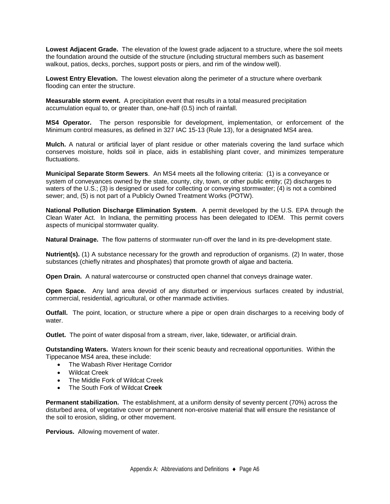**Lowest Adjacent Grade.** The elevation of the lowest grade adjacent to a structure, where the soil meets the foundation around the outside of the structure (including structural members such as basement walkout, patios, decks, porches, support posts or piers, and rim of the window well).

**Lowest Entry Elevation.** The lowest elevation along the perimeter of a structure where overbank flooding can enter the structure.

**Measurable storm event.** A precipitation event that results in a total measured precipitation accumulation equal to, or greater than, one-half (0.5) inch of rainfall.

**MS4 Operator.** The person responsible for development, implementation, or enforcement of the Minimum control measures, as defined in 327 IAC 15-13 (Rule 13), for a designated MS4 area.

**Mulch.** A natural or artificial layer of plant residue or other materials covering the land surface which conserves moisture, holds soil in place, aids in establishing plant cover, and minimizes temperature fluctuations.

**Municipal Separate Storm Sewers**. An MS4 meets all the following criteria: (1) is a conveyance or system of conveyances owned by the state, county, city, town, or other public entity; (2) discharges to waters of the U.S.; (3) is designed or used for collecting or conveying stormwater; (4) is not a combined sewer; and, (5) is not part of a Publicly Owned Treatment Works (POTW).

<span id="page-44-0"></span>**National Pollution Discharge Elimination System**. A permit developed by the U.S. EPA through the Clean Water Act. In Indiana, the permitting process has been delegated to IDEM. This permit covers aspects of municipal stormwater quality.

**Natural Drainage.** The flow patterns of stormwater run-off over the land in its pre-development state.

**Nutrient(s).** (1) A substance necessary for the growth and reproduction of organisms. (2) In water, those substances (chiefly nitrates and phosphates) that promote growth of algae and bacteria.

<span id="page-44-1"></span>**Open Drain.** A natural watercourse or constructed open channel that conveys drainage water.

**Open Space.** Any land area devoid of any disturbed or impervious surfaces created by industrial, commercial, residential, agricultural, or other manmade activities.

**Outfall.** The point, location, or structure where a pipe or open drain discharges to a receiving body of water.

**Outlet.** The point of water disposal from a stream, river, lake, tidewater, or artificial drain.

**Outstanding Waters.** Waters known for their scenic beauty and recreational opportunities. Within the Tippecanoe MS4 area, these include:

- The Wabash River Heritage Corridor
- Wildcat Creek
- The Middle Fork of Wildcat Creek
- The South Fork of Wildcat **Creek**

**Permanent stabilization.** The establishment, at a uniform density of seventy percent (70%) across the disturbed area, of vegetative cover or permanent non-erosive material that will ensure the resistance of the soil to erosion, sliding, or other movement.

**Pervious.** Allowing movement of water.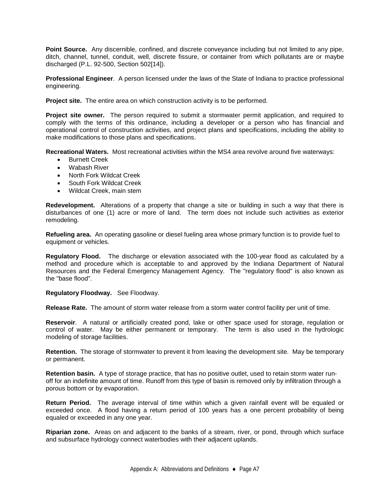**Point Source.** Any discernible, confined, and discrete conveyance including but not limited to any pipe, ditch, channel, tunnel, conduit, well, discrete fissure, or container from which pollutants are or maybe discharged (P.L. 92-500, Section 502[14]).

**Professional Engineer**. A person licensed under the laws of the State of Indiana to practice professional engineering.

**Project site.** The entire area on which construction activity is to be performed.

**Project site owner.** The person required to submit a stormwater permit application, and required to comply with the terms of this ordinance, including a developer or a person who has financial and operational control of construction activities, and project plans and specifications, including the ability to make modifications to those plans and specifications.

**Recreational Waters.** Most recreational activities within the MS4 area revolve around five waterways:

- Burnett Creek
- Wabash River
- North Fork Wildcat Creek
- South Fork Wildcat Creek
- Wildcat Creek, main stem

**Redevelopment.** Alterations of a property that change a site or building in such a way that there is disturbances of one (1) acre or more of land. The term does not include such activities as exterior remodeling.

**Refueling area.** An operating gasoline or diesel fueling area whose primary function is to provide fuel to equipment or vehicles.

**Regulatory Flood.** The discharge or elevation associated with the 100-year flood as calculated by a method and procedure which is acceptable to and approved by the Indiana Department of Natural Resources and the Federal Emergency Management Agency. The "regulatory flood" is also known as the "base flood".

**Regulatory Floodway.** See Floodway.

**Release Rate.** The amount of storm water release from a storm water control facility per unit of time.

**Reservoir**. A natural or artificially created pond, lake or other space used for storage, regulation or control of water. May be either permanent or temporary. The term is also used in the hydrologic modeling of storage facilities.

**Retention.** The storage of stormwater to prevent it from leaving the development site. May be temporary or permanent.

**Retention basin.** A type of storage practice, that has no positive outlet, used to retain storm water runoff for an indefinite amount of time. Runoff from this type of basin is removed only by infiltration through a porous bottom or by evaporation.

**Return Period.** The average interval of time within which a given rainfall event will be equaled or exceeded once. A flood having a return period of 100 years has a one percent probability of being equaled or exceeded in any one year.

**Riparian zone.** Areas on and adjacent to the banks of a stream, river, or pond, through which surface and subsurface hydrology connect waterbodies with their adjacent uplands.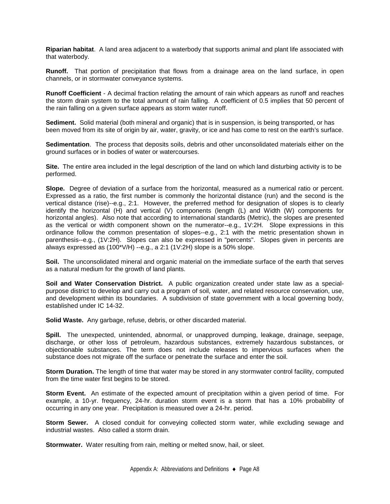**Riparian habitat**. A land area adjacent to a waterbody that supports animal and plant life associated with that waterbody.

**Runoff.** That portion of precipitation that flows from a drainage area on the land surface, in open channels, or in stormwater conveyance systems.

**Runoff Coefficient** - A decimal fraction relating the amount of rain which appears as runoff and reaches the storm drain system to the total amount of rain falling. A coefficient of 0.5 implies that 50 percent of the rain falling on a given surface appears as storm water runoff.

<span id="page-46-0"></span>**Sediment.** Solid material (both mineral and organic) that is in suspension, is being transported, or has been moved from its site of origin by air, water, gravity, or ice and has come to rest on the earth's surface.

**Sedimentation**. The process that deposits soils, debris and other unconsolidated materials either on the ground surfaces or in bodies of water or watercourses.

**Site.** The entire area included in the legal description of the land on which land disturbing activity is to be performed.

**Slope.** Degree of deviation of a surface from the horizontal, measured as a numerical ratio or percent. Expressed as a ratio, the first number is commonly the horizontal distance (run) and the second is the vertical distance (rise)--e.g., 2:1. However, the preferred method for designation of slopes is to clearly identify the horizontal (H) and vertical (V) components (length (L) and Width (W) components for horizontal angles). Also note that according to international standards (Metric), the slopes are presented as the vertical or width component shown on the numerator--e.g., 1V:2H. Slope expressions in this ordinance follow the common presentation of slopes--e.g., 2:1 with the metric presentation shown in parenthesis--e.g., (1V:2H). Slopes can also be expressed in "percents". Slopes given in percents are always expressed as (100\*V/H) --e.g., a 2:1 (1V:2H) slope is a 50% slope.

**Soil.** The unconsolidated mineral and organic material on the immediate surface of the earth that serves as a natural medium for the growth of land plants.

**Soil and Water Conservation District.** A public organization created under state law as a specialpurpose district to develop and carry out a program of soil, water, and related resource conservation, use, and development within its boundaries. A subdivision of state government with a local governing body, established under IC 14-32.

**Solid Waste.** Any garbage, refuse, debris, or other discarded material.

**Spill.** The unexpected, unintended, abnormal, or unapproved dumping, leakage, drainage, seepage, discharge, or other loss of petroleum, hazardous substances, extremely hazardous substances, or objectionable substances. The term does not include releases to impervious surfaces when the substance does not migrate off the surface or penetrate the surface and enter the soil.

**Storm Duration.** The length of time that water may be stored in any stormwater control facility, computed from the time water first begins to be stored.

**Storm Event.** An estimate of the expected amount of precipitation within a given period of time. For example, a 10-yr. frequency, 24-hr. duration storm event is a storm that has a 10% probability of occurring in any one year. Precipitation is measured over a 24-hr. period.

**Storm Sewer.** A closed conduit for conveying collected storm water, while excluding sewage and industrial wastes. Also called a storm drain.

**Stormwater.** Water resulting from rain, melting or melted snow, hail, or sleet.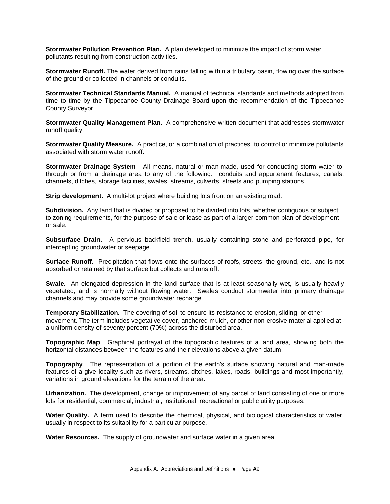**Stormwater Pollution Prevention Plan.** A plan developed to minimize the impact of storm water pollutants resulting from construction activities.

**Stormwater Runoff.** The water derived from rains falling within a tributary basin, flowing over the surface of the ground or collected in channels or conduits.

**Stormwater Technical Standards Manual.** A manual of technical standards and methods adopted from time to time by the Tippecanoe County Drainage Board upon the recommendation of the Tippecanoe County Surveyor.

**Stormwater Quality Management Plan.** A comprehensive written document that addresses stormwater runoff quality.

**Stormwater Quality Measure.** A practice, or a combination of practices, to control or minimize pollutants associated with storm water runoff.

**Stormwater Drainage System** - All means, natural or man-made, used for conducting storm water to, through or from a drainage area to any of the following: conduits and appurtenant features, canals, channels, ditches, storage facilities, swales, streams, culverts, streets and pumping stations.

**Strip development.** A multi-lot project where building lots front on an existing road.

**Subdivision.** Any land that is divided or proposed to be divided into lots, whether contiguous or subject to zoning requirements, for the purpose of sale or lease as part of a larger common plan of development or sale.

**Subsurface Drain.** A pervious backfield trench, usually containing stone and perforated pipe, for intercepting groundwater or seepage.

**Surface Runoff.** Precipitation that flows onto the surfaces of roofs, streets, the ground, etc., and is not absorbed or retained by that surface but collects and runs off.

**Swale.** An elongated depression in the land surface that is at least seasonally wet, is usually heavily vegetated, and is normally without flowing water. Swales conduct stormwater into primary drainage channels and may provide some groundwater recharge.

<span id="page-47-0"></span>**Temporary Stabilization.** The covering of soil to ensure its resistance to erosion, sliding, or other movement. The term includes vegetative cover, anchored mulch, or other non-erosive material applied at a uniform density of seventy percent (70%) across the disturbed area.

**Topographic Map**. Graphical portrayal of the topographic features of a land area, showing both the horizontal distances between the features and their elevations above a given datum.

**Topography**. The representation of a portion of the earth's surface showing natural and man-made features of a give locality such as rivers, streams, ditches, lakes, roads, buildings and most importantly, variations in ground elevations for the terrain of the area.

<span id="page-47-1"></span>**Urbanization.** The development, change or improvement of any parcel of land consisting of one or more lots for residential, commercial, industrial, institutional, recreational or public utility purposes.

<span id="page-47-2"></span>**Water Quality.** A term used to describe the chemical, physical, and biological characteristics of water, usually in respect to its suitability for a particular purpose.

**Water Resources.** The supply of groundwater and surface water in a given area.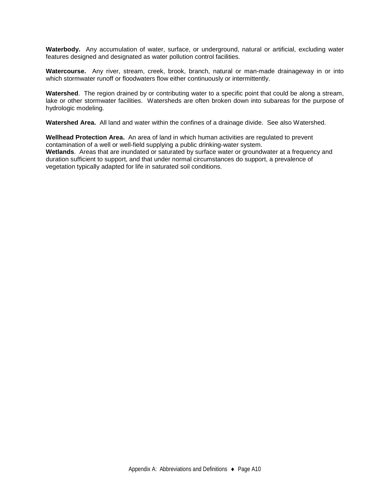**Waterbody.** Any accumulation of water, surface, or underground, natural or artificial, excluding water features designed and designated as water pollution control facilities.

**Watercourse.** Any river, stream, creek, brook, branch, natural or man-made drainageway in or into which stormwater runoff or floodwaters flow either continuously or intermittently.

**Watershed**. The region drained by or contributing water to a specific point that could be along a stream, lake or other stormwater facilities. Watersheds are often broken down into subareas for the purpose of hydrologic modeling.

**Watershed Area.** All land and water within the confines of a drainage divide. See also Watershed.

**Wellhead Protection Area.** An area of land in which human activities are regulated to prevent contamination of a well or well-field supplying a public drinking-water system. **Wetlands**. Areas that are inundated or saturated by surface water or groundwater at a frequency and duration sufficient to support, and that under normal circumstances do support, a prevalence of vegetation typically adapted for life in saturated soil conditions.